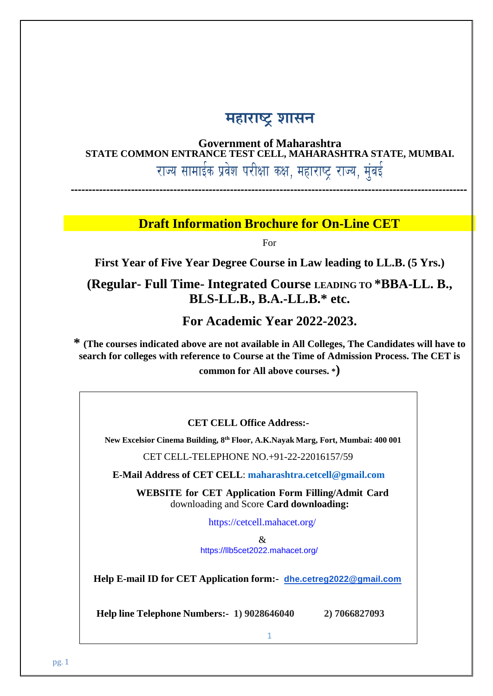# **महाराष्ट्र शासन**

## **Government of Maharashtra STATE COMMON ENTRANCE TEST CELL, MAHARASHTRA STATE, MUMBAI.** राज्य सामाईक प्रवेश परीक्षा कक्ष, महाराष्ट्र राज्य, मुंबई

**----------------------------------------------------------------------------------------------------------------**

## **Draft Information Brochure for On-Line CET**

For

**First Year of Five Year Degree Course in Law leading to LL.B. (5 Yrs.)**

**(Regular- Full Time- Integrated Course LEADING TO \*BBA-LL. B., BLS-LL.B., B.A.-LL.B.\* etc.**

**For Academic Year 2022-2023.**

**\* (The courses indicated above are not available in All Colleges, The Candidates will have to search for colleges with reference to Course at the Time of Admission Process. The CET is common for All above courses. \*)**

**CET CELL Office Address:-**

**New Excelsior Cinema Building, 8 th Floor, A.K.Nayak Marg, Fort, Mumbai: 400 001**

CET CELL-TELEPHONE NO.+91-22-22016157/59

**E-Mail Address of CET CELL**: **[maharashtra.cetcell@gmail.com](mailto:maharashtra.cetcell@gmail.com)**

**WEBSITE for CET Application Form Filling/Admit Card** downloading and Score **Card downloading:**

<https://cetcell.mahacet.org/>

& <https://llb5cet2022.mahacet.org/>

**Help E-mail ID for CET Application form:- [dhe.cetreg2022@gmail.com](mailto:dhe.cetreg2022@gmail.com)**

 **Help line Telephone Numbers:- 1) 9028646040 2) 7066827093**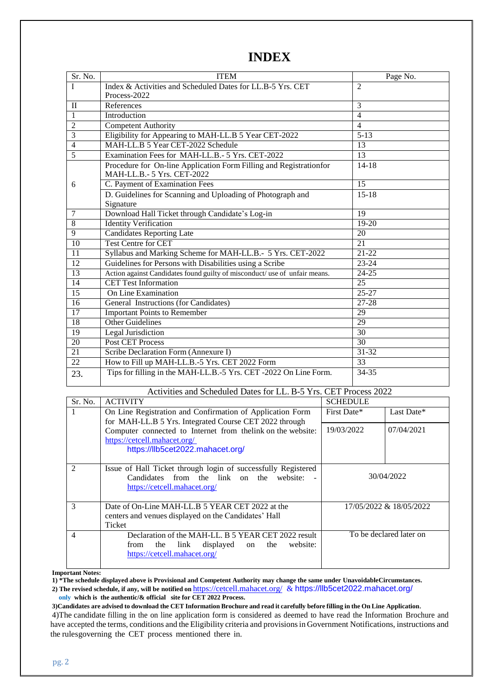## **INDEX**

| Sr. No.         | <b>ITEM</b>                                                               | Page No.          |
|-----------------|---------------------------------------------------------------------------|-------------------|
| I               | Index & Activities and Scheduled Dates for LL.B-5 Yrs. CET                | $\overline{2}$    |
|                 | Process-2022                                                              |                   |
| $\mathbf{I}$    | References                                                                | 3                 |
| 1               | Introduction                                                              | 4                 |
| $\overline{2}$  | <b>Competent Authority</b>                                                | $\overline{4}$    |
| 3               | Eligibility for Appearing to MAH-LL.B 5 Year CET-2022                     | $\overline{5-13}$ |
| $\overline{4}$  | MAH-LL.B 5 Year CET-2022 Schedule                                         | 13                |
| $\overline{5}$  | Examination Fees for MAH-LL.B.- 5 Yrs. CET-2022                           | 13                |
|                 | Procedure for On-line Application Form Filling and Registrationfor        | $14 - 18$         |
|                 | MAH-LL.B.- 5 Yrs. CET-2022                                                |                   |
| 6               | C. Payment of Examination Fees                                            | 15                |
|                 | D. Guidelines for Scanning and Uploading of Photograph and<br>Signature   | $15 - 18$         |
| 7               | Download Hall Ticket through Candidate's Log-in                           | 19                |
| 8               | <b>Identity Verification</b>                                              | 19-20             |
| 9               | <b>Candidates Reporting Late</b>                                          | 20                |
| 10              | <b>Test Centre for CET</b>                                                | 21                |
| $\overline{11}$ | Syllabus and Marking Scheme for MAH-LL.B.- 5 Yrs. CET-2022                | $21-22$           |
| $\overline{12}$ | Guidelines for Persons with Disabilities using a Scribe                   | $23 - 24$         |
| $\overline{13}$ | Action against Candidates found guilty of misconduct/use of unfair means. | $24 - 25$         |
| 14              | <b>CET Test Information</b>                                               | 25                |
| 15              | On Line Examination                                                       | $25 - 27$         |
| $\overline{16}$ | General Instructions (for Candidates)                                     | 27-28             |
| 17              | <b>Important Points to Remember</b>                                       | 29                |
| $\overline{18}$ | <b>Other Guidelines</b>                                                   | 29                |
| $\overline{19}$ | <b>Legal Jurisdiction</b>                                                 | 30                |
| 20              | <b>Post CET Process</b>                                                   | $\overline{30}$   |
| 21              | Scribe Declaration Form (Annexure I)                                      | $31 - 32$         |
| 22              | How to Fill up MAH-LL.B.-5 Yrs. CET 2022 Form                             | 33                |
| 23.             | Tips for filling in the MAH-LL.B.-5 Yrs. CET -2022 On Line Form.          | 34-35             |

#### Activities and Scheduled Dates for LL. B-5 Yrs. CET Process 2022

| Sr. No.                     | <b>ACTIVITY</b>                                               | <b>SCHEDULE</b> |                         |
|-----------------------------|---------------------------------------------------------------|-----------------|-------------------------|
|                             | On Line Registration and Confirmation of Application Form     | First Date*     | Last Date*              |
|                             | for MAH-LL.B 5 Yrs. Integrated Course CET 2022 through        |                 |                         |
|                             | Computer connected to Internet from the link on the website:  | 19/03/2022      | 07/04/2021              |
|                             | https://cetcell.mahacet.org/                                  |                 |                         |
|                             | https://llb5cet2022.mahacet.org/                              |                 |                         |
|                             |                                                               |                 |                         |
| $\mathcal{D}_{\mathcal{L}}$ | Issue of Hall Ticket through login of successfully Registered |                 |                         |
|                             | Candidates from the link on the website:                      |                 | 30/04/2022              |
|                             | https://cetcell.mahacet.org/                                  |                 |                         |
|                             |                                                               |                 |                         |
| 3                           | Date of On-Line MAH-LLB 5 YEAR CET 2022 at the                |                 | 17/05/2022 & 18/05/2022 |
|                             | centers and venues displayed on the Candidates' Hall          |                 |                         |
|                             | Ticket                                                        |                 |                         |
| 4                           | Declaration of the MAH-LL. B 5 YEAR CET 2022 result           |                 | To be declared later on |
|                             | website:<br>displayed on<br>link<br>the<br>from<br>the        |                 |                         |
|                             | https://cetcell.mahacet.org/                                  |                 |                         |
|                             |                                                               |                 |                         |

#### **Important Notes:**

**1) \*The schedule displayed above is Provisional and Competent Authority may change the same under UnavoidableCircumstances.**

**2) The revised schedule, if any, will be notified on** <https://cetcell.mahacet.org/> & <https://llb5cet2022.mahacet.org/> **only which is the authentic/& official site for CET 2022 Process.**

 $3)$  Candidates are advised to download the CET Information Brochure and read it carefully before filling in the On Line Application.  $\,$ 4)The candidate filling in the on line application form is considered as deemed to have read the Information Brochure and have accepted the terms, conditions and the Eligibility criteria and provisionsin Government Notifications, instructions and the rulesgoverning the CET process mentioned there in.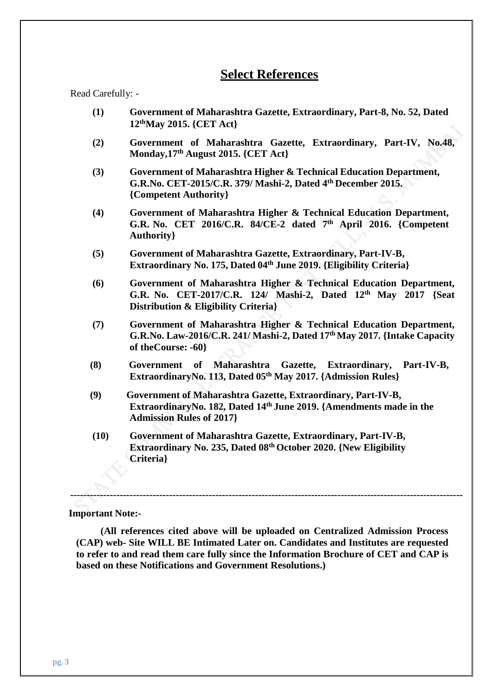## **Select References**

Read Carefully: -

- **(1) Government of Maharashtra Gazette, Extraordinary, Part-8, No. 52, Dated 12thMay 2015. {CET Act}**
- **(2) Government of Maharashtra Gazette, Extraordinary, Part-IV, No.48, Monday,17th August 2015. {CET Act}**
- **(3) Government of Maharashtra Higher & Technical Education Department, G.R.No. CET-2015/C.R. 379/ Mashi-2, Dated 4th December 2015. {Competent Authority}**
- **(4) Government of Maharashtra Higher & Technical Education Department, G.R. No. CET 2016/C.R. 84/CE-2 dated 7 th April 2016. {Competent Authority}**
- **(5) Government of Maharashtra Gazette, Extraordinary, Part-IV-B, Extraordinary No. 175, Dated 04th June 2019. {Eligibility Criteria}**
- **(6) Government of Maharashtra Higher & Technical Education Department, G.R. No. CET-2017/C.R. 124/ Mashi-2, Dated 12th May 2017 {Seat Distribution & Eligibility Criteria}**
- **(7) Government of Maharashtra Higher & Technical Education Department, G.R.No. Law-2016/C.R. 241/ Mashi-2, Dated 17th May 2017. {Intake Capacity of theCourse: -60}**
- **(8) Government of Maharashtra Gazette, Extraordinary, Part-IV-B, ExtraordinaryNo. 113, Dated 05th May 2017. {Admission Rules}**
- **(9) Government of Maharashtra Gazette, Extraordinary, Part-IV-B, ExtraordinaryNo. 182, Dated 14th June 2019. {Amendments made in the Admission Rules of 2017}**
- **(10) Government of Maharashtra Gazette, Extraordinary, Part-IV-B, Extraordinary No. 235, Dated 08th October 2020. {New Eligibility Criteria}**

#### **Important Note:-**

**(All references cited above will be uploaded on Centralized Admission Process (CAP) web- Site WILL BE Intimated Later on. Candidates and Institutes are requested to refer to and read them care fully since the Information Brochure of CET and CAP is based on these Notifications and Government Resolutions.)**

**-----------------------------------------------------------------------------------------------------------------------**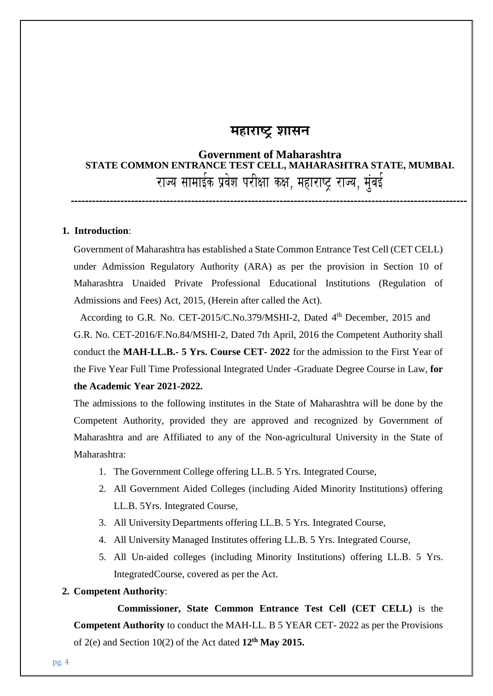## **महाराष्ट्र शासन**

# **Government of Maharashtra STATE COMMON ENTRANCE TEST CELL, MAHARASHTRA STATE, MUMBAI.** राज्य सामाईक प्रवेश परीक्षा कक्ष, महाराष्ट्र राज्य, मुंबई

**----------------------------------------------------------------------------------------------------------------**

#### **1. Introduction**:

Government of Maharashtra has established a State Common Entrance Test Cell (CET CELL) under Admission Regulatory Authority (ARA) as per the provision in Section 10 of Maharashtra Unaided Private Professional Educational Institutions (Regulation of Admissions and Fees) Act, 2015, (Herein after called the Act).

According to G.R. No. CET-2015/C.No.379/MSHI-2, Dated 4<sup>th</sup> December, 2015 and G.R. No. CET-2016/F.No.84/MSHI-2, Dated 7th April, 2016 the Competent Authority shall conduct the **MAH-LL.B.- 5 Yrs. Course CET- 2022** for the admission to the First Year of the Five Year Full Time Professional Integrated Under -Graduate Degree Course in Law, **for the Academic Year 2021-2022.**

The admissions to the following institutes in the State of Maharashtra will be done by the Competent Authority, provided they are approved and recognized by Government of Maharashtra and are Affiliated to any of the Non-agricultural University in the State of Maharashtra:

- 1. The Government College offering LL.B. 5 Yrs. Integrated Course,
- 2. All Government Aided Colleges (including Aided Minority Institutions) offering LL.B. 5Yrs. Integrated Course,
- 3. All University Departments offering LL.B. 5 Yrs. Integrated Course,
- 4. All University Managed Institutes offering LL.B. 5 Yrs. Integrated Course,
- 5. All Un-aided colleges (including Minority Institutions) offering LL.B. 5 Yrs. IntegratedCourse, covered as per the Act.

#### **2. Competent Authority**:

**Commissioner, State Common Entrance Test Cell (CET CELL)** is the **Competent Authority** to conduct the MAH-LL. B 5 YEAR CET- 2022 as per the Provisions of 2(e) and Section 10(2) of the Act dated **12th May 2015.**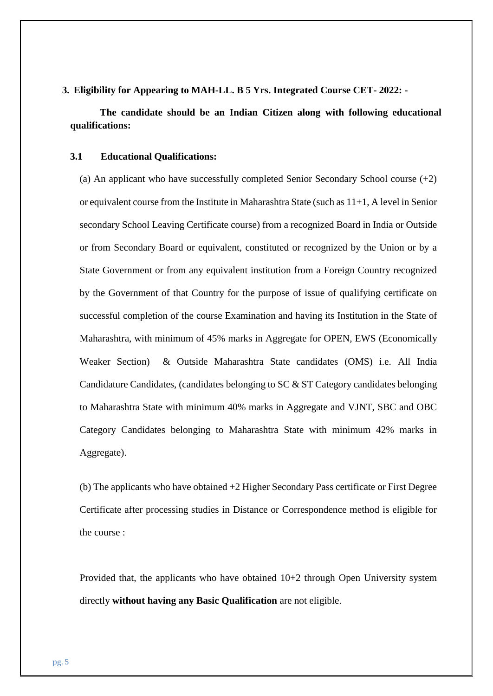**3. Eligibility for Appearing to MAH-LL. B 5 Yrs. Integrated Course CET- 2022: -**

**The candidate should be an Indian Citizen along with following educational qualifications:**

#### **3.1 Educational Qualifications:**

(a) An applicant who have successfully completed Senior Secondary School course  $(+2)$ or equivalent course from the Institute in Maharashtra State (such as 11+1, A level in Senior secondary School Leaving Certificate course) from a recognized Board in India or Outside or from Secondary Board or equivalent, constituted or recognized by the Union or by a State Government or from any equivalent institution from a Foreign Country recognized by the Government of that Country for the purpose of issue of qualifying certificate on successful completion of the course Examination and having its Institution in the State of Maharashtra, with minimum of 45% marks in Aggregate for OPEN, EWS (Economically Weaker Section) & Outside Maharashtra State candidates (OMS) i.e. All India Candidature Candidates, (candidates belonging to SC & ST Category candidates belonging to Maharashtra State with minimum 40% marks in Aggregate and VJNT, SBC and OBC Category Candidates belonging to Maharashtra State with minimum 42% marks in Aggregate).

(b) The applicants who have obtained +2 Higher Secondary Pass certificate or First Degree Certificate after processing studies in Distance or Correspondence method is eligible for the course :

Provided that, the applicants who have obtained 10+2 through Open University system directly **without having any Basic Qualification** are not eligible.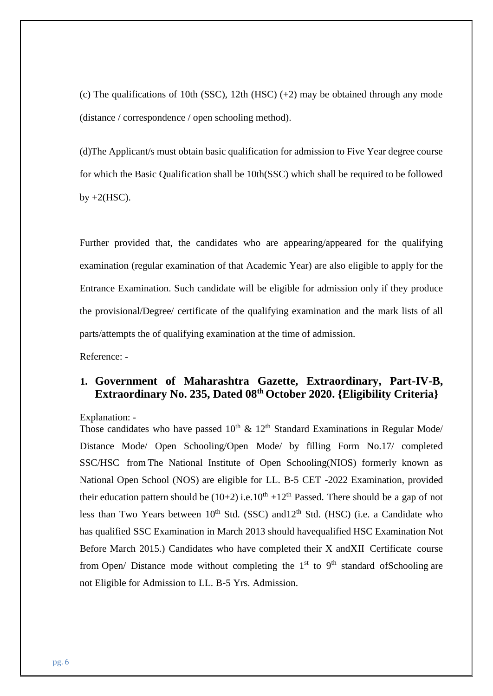(c) The qualifications of 10th (SSC), 12th (HSC)  $(+2)$  may be obtained through any mode (distance / correspondence / open schooling method).

(d)The Applicant/s must obtain basic qualification for admission to Five Year degree course for which the Basic Qualification shall be 10th(SSC) which shall be required to be followed by  $+2(HSC)$ .

Further provided that, the candidates who are appearing/appeared for the qualifying examination (regular examination of that Academic Year) are also eligible to apply for the Entrance Examination. Such candidate will be eligible for admission only if they produce the provisional/Degree/ certificate of the qualifying examination and the mark lists of all parts/attempts the of qualifying examination at the time of admission.

Reference: -

## **1. Government of Maharashtra Gazette, Extraordinary, Part-IV-B, Extraordinary No. 235, Dated 08th October 2020. {Eligibility Criteria}**

Explanation: -

Those candidates who have passed  $10^{th}$  &  $12^{th}$  Standard Examinations in Regular Mode/ Distance Mode/ Open Schooling/Open Mode/ by filling Form No.17/ completed SSC/HSC from The National Institute of Open Schooling(NIOS) formerly known as National Open School (NOS) are eligible for LL. B-5 CET -2022 Examination, provided their education pattern should be  $(10+2)$  i.e.  $10^{th} +12^{th}$  Passed. There should be a gap of not less than Two Years between  $10<sup>th</sup>$  Std. (SSC) and  $12<sup>th</sup>$  Std. (HSC) (i.e. a Candidate who has qualified SSC Examination in March 2013 should havequalified HSC Examination Not Before March 2015.) Candidates who have completed their X andXII Certificate course from Open/ Distance mode without completing the  $1<sup>st</sup>$  to  $9<sup>th</sup>$  standard of Schooling are not Eligible for Admission to LL. B-5 Yrs. Admission.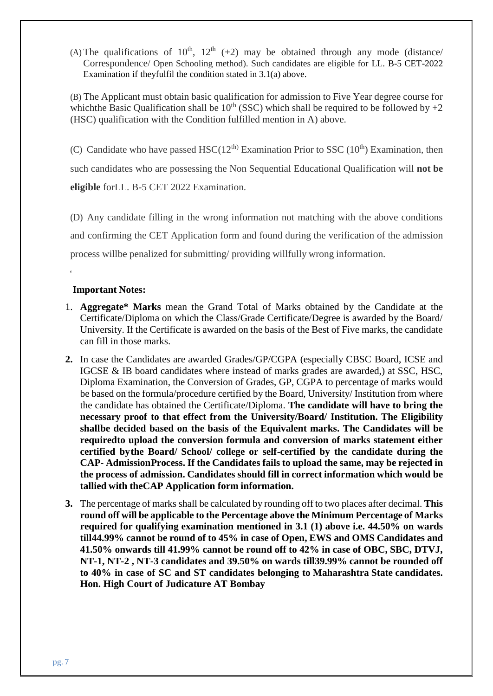(A) The qualifications of  $10^{th}$ ,  $12^{th}$  (+2) may be obtained through any mode (distance/ Correspondence/ Open Schooling method). Such candidates are eligible for LL. B-5 CET-2022 Examination if theyfulfil the condition stated in 3.1(a) above.

(B) The Applicant must obtain basic qualification for admission to Five Year degree course for which the Basic Qualification shall be  $10^{th}$  (SSC) which shall be required to be followed by  $+2$ (HSC) qualification with the Condition fulfilled mention in A) above.

(C) Candidate who have passed HSC( $12<sup>th</sup>$ ) Examination Prior to SSC ( $10<sup>th</sup>$ ) Examination, then such candidates who are possessing the Non Sequential Educational Qualification will **not be eligible** forLL. B-5 CET 2022 Examination.

(D) Any candidate filling in the wrong information not matching with the above conditions and confirming the CET Application form and found during the verification of the admission process willbe penalized for submitting/ providing willfully wrong information.

#### **Important Notes:**

€

- 1. **Aggregate\* Marks** mean the Grand Total of Marks obtained by the Candidate at the Certificate/Diploma on which the Class/Grade Certificate/Degree is awarded by the Board/ University. If the Certificate is awarded on the basis of the Best of Five marks, the candidate can fill in those marks.
- **2.** In case the Candidates are awarded Grades/GP/CGPA (especially CBSC Board, ICSE and IGCSE & IB board candidates where instead of marks grades are awarded,) at SSC, HSC, Diploma Examination, the Conversion of Grades, GP, CGPA to percentage of marks would be based on the formula/procedure certified by the Board, University/ Institution from where the candidate has obtained the Certificate/Diploma. **The candidate will have to bring the necessary proof to that effect from the University/Board/ Institution. The Eligibility shallbe decided based on the basis of the Equivalent marks. The Candidates will be requiredto upload the conversion formula and conversion of marks statement either certified bythe Board/ School/ college or self-certified by the candidate during the CAP- AdmissionProcess. If the Candidates fails to upload the same, may be rejected in the process of admission. Candidates should fill in correct information which would be tallied with theCAP Application form information.**
- **3.** The percentage of marks shall be calculated by rounding off to two places after decimal. **This round off will be applicable to the Percentage above the Minimum Percentage of Marks required for qualifying examination mentioned in 3.1 (1) above i.e. 44.50% on wards till44.99% cannot be round of to 45% in case of Open, EWS and OMS Candidates and 41.50% onwards till 41.99% cannot be round off to 42% in case of OBC, SBC, DTVJ, NT-1, NT-2 , NT-3 candidates and 39.50% on wards till39.99% cannot be rounded off to 40% in case of SC and ST candidates belonging to Maharashtra State candidates. Hon. High Court of Judicature AT Bombay**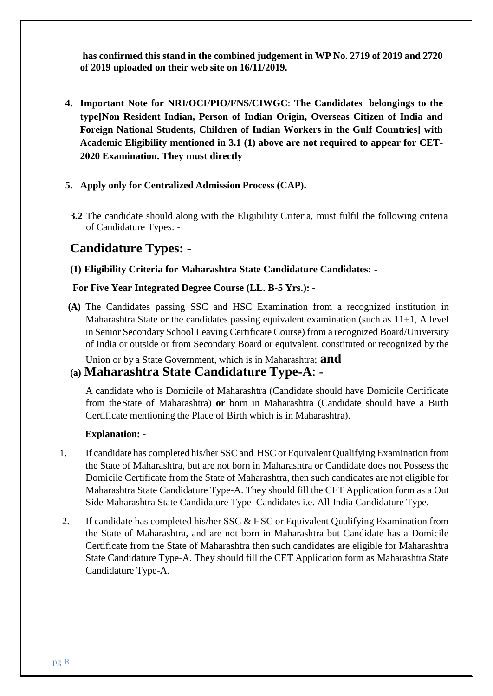**has confirmed this stand in the combined judgement in WP No. 2719 of 2019 and 2720 of 2019 uploaded on their web site on 16/11/2019.**

- **4. Important Note for NRI/OCI/PIO/FNS/CIWGC**: **The Candidates belongings to the type[Non Resident Indian, Person of Indian Origin, Overseas Citizen of India and Foreign National Students, Children of Indian Workers in the Gulf Countries] with Academic Eligibility mentioned in 3.1 (1) above are not required to appear for CET-2020 Examination. They must directly**
- **5. Apply only for Centralized Admission Process (CAP).**
- **3.2** The candidate should along with the Eligibility Criteria, must fulfil the following criteria of Candidature Types: -

## **Candidature Types: -**

#### **(1) Eligibility Criteria for Maharashtra State Candidature Candidates: -**

#### **For Five Year Integrated Degree Course (LL. B-5 Yrs.): -**

**(A)** The Candidates passing SSC and HSC Examination from a recognized institution in Maharashtra State or the candidates passing equivalent examination (such as  $11+1$ , A level in Senior Secondary School Leaving Certificate Course) from a recognized Board/University of India or outside or from Secondary Board or equivalent, constituted or recognized by the

Union or by a State Government, which is in Maharashtra; **and**

## **(a) Maharashtra State Candidature Type-A**: -

A candidate who is Domicile of Maharashtra (Candidate should have Domicile Certificate from theState of Maharashtra) **or** born in Maharashtra (Candidate should have a Birth Certificate mentioning the Place of Birth which is in Maharashtra).

#### **Explanation: -**

- 1. If candidate has completed his/her SSCand HSC or Equivalent Qualifying Examination from the State of Maharashtra, but are not born in Maharashtra or Candidate does not Possess the Domicile Certificate from the State of Maharashtra, then such candidates are not eligible for Maharashtra State Candidature Type-A. They should fill the CET Application form as a Out Side Maharashtra State Candidature Type Candidates i.e. All India Candidature Type.
- 2. If candidate has completed his/her SSC & HSC or Equivalent Qualifying Examination from the State of Maharashtra, and are not born in Maharashtra but Candidate has a Domicile Certificate from the State of Maharashtra then such candidates are eligible for Maharashtra State Candidature Type-A. They should fill the CET Application form as Maharashtra State Candidature Type-A.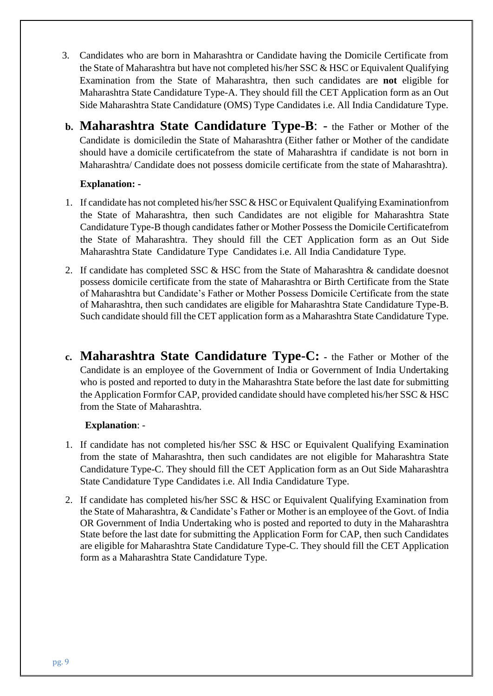- 3. Candidates who are born in Maharashtra or Candidate having the Domicile Certificate from the State of Maharashtra but have not completed his/her SSC & HSC or Equivalent Qualifying Examination from the State of Maharashtra, then such candidates are **not** eligible for Maharashtra State Candidature Type-A. They should fill the CET Application form as an Out Side Maharashtra State Candidature (OMS) Type Candidates i.e. All India Candidature Type.
- **b. Maharashtra State Candidature Type-B**: the Father or Mother of the Candidate is domiciledin the State of Maharashtra (Either father or Mother of the candidate should have a domicile certificatefrom the state of Maharashtra if candidate is not born in Maharashtra/ Candidate does not possess domicile certificate from the state of Maharashtra).

#### **Explanation: -**

- 1. If candidate has not completed his/her SSC  $&HSC$  or Equivalent Qualifying Examination from the State of Maharashtra, then such Candidates are not eligible for Maharashtra State Candidature Type-B though candidates father or Mother Possessthe Domicile Certificatefrom the State of Maharashtra. They should fill the CET Application form as an Out Side Maharashtra State Candidature Type Candidates i.e. All India Candidature Type.
- 2. If candidate has completed SSC & HSC from the State of Maharashtra & candidate doesnot possess domicile certificate from the state of Maharashtra or Birth Certificate from the State of Maharashtra but Candidate's Father or Mother Possess Domicile Certificate from the state of Maharashtra, then such candidates are eligible for Maharashtra State Candidature Type-B. Such candidate should fill the CET application form as a Maharashtra State Candidature Type.
- **c. Maharashtra State Candidature Type-C: -** the Father or Mother of the Candidate is an employee of the Government of India or Government of India Undertaking who is posted and reported to duty in the Maharashtra State before the last date for submitting the Application Formfor CAP, provided candidate should have completed his/her SSC  $\&$  HSC from the State of Maharashtra.

#### **Explanation**: -

- 1. If candidate has not completed his/her SSC & HSC or Equivalent Qualifying Examination from the state of Maharashtra, then such candidates are not eligible for Maharashtra State Candidature Type-C. They should fill the CET Application form as an Out Side Maharashtra State Candidature Type Candidates i.e. All India Candidature Type.
- 2. If candidate has completed his/her SSC & HSC or Equivalent Qualifying Examination from the State of Maharashtra, & Candidate's Father or Mother is an employee of the Govt. of India OR Government of India Undertaking who is posted and reported to duty in the Maharashtra State before the last date for submitting the Application Form for CAP, then such Candidates are eligible for Maharashtra State Candidature Type-C. They should fill the CET Application form as a Maharashtra State Candidature Type.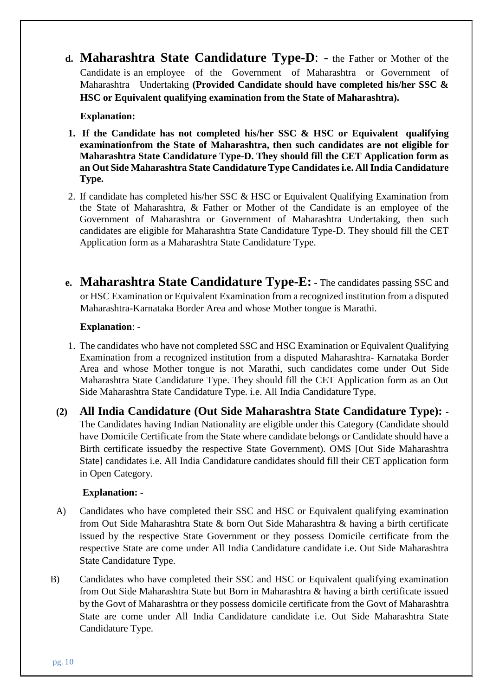**d. Maharashtra State Candidature Type-D**: - the Father or Mother of the Candidate is an employee of the Government of Maharashtra or Government of Maharashtra Undertaking **(Provided Candidate should have completed his/her SSC & HSC or Equivalent qualifying examination from the State of Maharashtra).**

#### **Explanation:**

- **1. If the Candidate has not completed his/her SSC & HSC or Equivalent qualifying examinationfrom the State of Maharashtra, then such candidates are not eligible for Maharashtra State Candidature Type-D. They should fill the CET Application form as an Out Side Maharashtra State Candidature Type Candidatesi.e. All India Candidature Type.**
- 2. If candidate has completed his/her SSC & HSC or Equivalent Qualifying Examination from the State of Maharashtra, & Father or Mother of the Candidate is an employee of the Government of Maharashtra or Government of Maharashtra Undertaking, then such candidates are eligible for Maharashtra State Candidature Type-D. They should fill the CET Application form as a Maharashtra State Candidature Type.
- **e. Maharashtra State Candidature Type-E: -** The candidates passing SSC and or HSC Examination or Equivalent Examination from a recognized institution from a disputed Maharashtra-Karnataka Border Area and whose Mother tongue is Marathi.

#### **Explanation**: -

- 1. The candidates who have not completed SSC and HSC Examination or Equivalent Qualifying Examination from a recognized institution from a disputed Maharashtra- Karnataka Border Area and whose Mother tongue is not Marathi, such candidates come under Out Side Maharashtra State Candidature Type. They should fill the CET Application form as an Out Side Maharashtra State Candidature Type. i.e. All India Candidature Type.
- **(2) All India Candidature (Out Side Maharashtra State Candidature Type): -** The Candidates having Indian Nationality are eligible under this Category (Candidate should have Domicile Certificate from the State where candidate belongs or Candidate should have a Birth certificate issuedby the respective State Government). OMS [Out Side Maharashtra State] candidates i.e. All India Candidature candidates should fill their CET application form in Open Category.

#### **Explanation: -**

- A) Candidates who have completed their SSC and HSC or Equivalent qualifying examination from Out Side Maharashtra State & born Out Side Maharashtra & having a birth certificate issued by the respective State Government or they possess Domicile certificate from the respective State are come under All India Candidature candidate i.e. Out Side Maharashtra State Candidature Type.
- B) Candidates who have completed their SSC and HSC or Equivalent qualifying examination from Out Side Maharashtra State but Born in Maharashtra & having a birth certificate issued by the Govt of Maharashtra or they possess domicile certificate from the Govt of Maharashtra State are come under All India Candidature candidate i.e. Out Side Maharashtra State Candidature Type.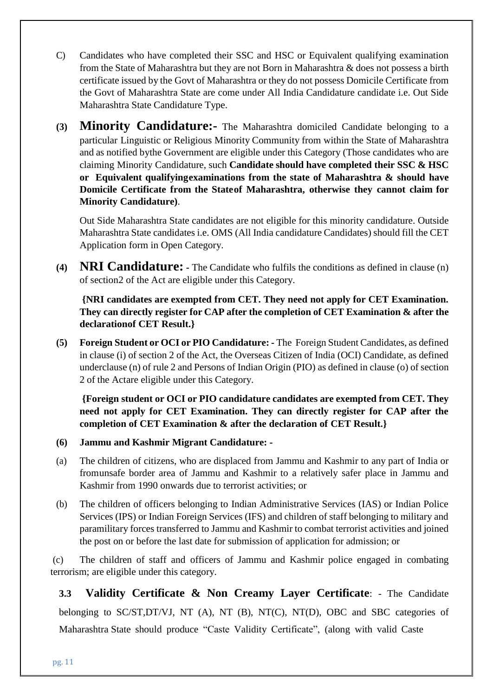- C) Candidates who have completed their SSC and HSC or Equivalent qualifying examination from the State of Maharashtra but they are not Born in Maharashtra & does not possess a birth certificate issued by the Govt of Maharashtra or they do not possess Domicile Certificate from the Govt of Maharashtra State are come under All India Candidature candidate i.e. Out Side Maharashtra State Candidature Type.
- **(3) Minority Candidature:-** The Maharashtra domiciled Candidate belonging to a particular Linguistic or Religious Minority Community from within the State of Maharashtra and as notified bythe Government are eligible under this Category (Those candidates who are claiming Minority Candidature, such **Candidate should have completed their SSC & HSC or Equivalent qualifyingexaminations from the state of Maharashtra & should have Domicile Certificate from the Stateof Maharashtra, otherwise they cannot claim for Minority Candidature)**.

Out Side Maharashtra State candidates are not eligible for this minority candidature. Outside Maharashtra State candidates i.e. OMS (All India candidature Candidates) should fill the CET Application form in Open Category.

**(4) NRI Candidature: -** The Candidate who fulfils the conditions as defined in clause (n) of section2 of the Act are eligible under this Category.

**{NRI candidates are exempted from CET. They need not apply for CET Examination. They can directly register for CAP after the completion of CET Examination & after the declarationof CET Result.}**

**(5) Foreign Student or OCI or PIO Candidature: -** The Foreign Student Candidates, as defined in clause (i) of section 2 of the Act, the Overseas Citizen of India (OCI) Candidate, as defined underclause (n) of rule 2 and Persons of Indian Origin (PIO) as defined in clause (o) of section 2 of the Actare eligible under this Category.

**{Foreign student or OCI or PIO candidature candidates are exempted from CET. They need not apply for CET Examination. They can directly register for CAP after the completion of CET Examination & after the declaration of CET Result.}**

- **(6) Jammu and Kashmir Migrant Candidature: -**
- (a) The children of citizens, who are displaced from Jammu and Kashmir to any part of India or fromunsafe border area of Jammu and Kashmir to a relatively safer place in Jammu and Kashmir from 1990 onwards due to terrorist activities; or
- (b) The children of officers belonging to Indian Administrative Services (IAS) or Indian Police Services (IPS) or Indian Foreign Services (IFS) and children of staff belonging to military and paramilitary forces transferred to Jammu and Kashmir to combat terrorist activities and joined the post on or before the last date for submission of application for admission; or

(c) The children of staff and officers of Jammu and Kashmir police engaged in combating terrorism; are eligible under this category.

**3.3 Validity Certificate & Non Creamy Layer Certificate**: - The Candidate belonging to SC/ST,DT/VJ, NT (A), NT (B), NT(C), NT(D), OBC and SBC categories of Maharashtra State should produce "Caste Validity Certificate", (along with valid Caste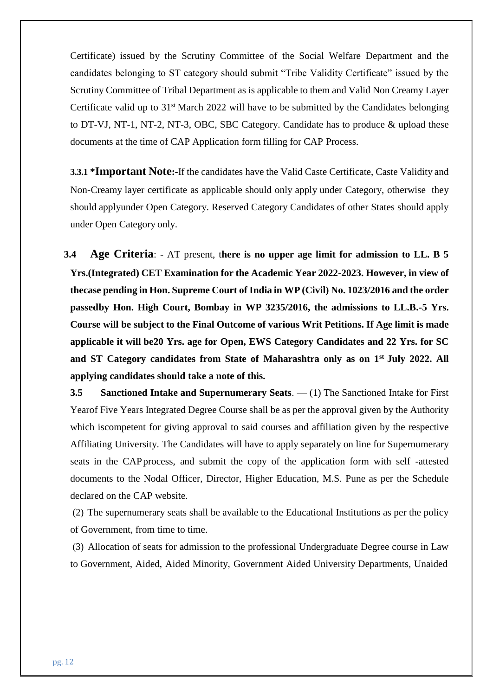Certificate) issued by the Scrutiny Committee of the Social Welfare Department and the candidates belonging to ST category should submit "Tribe Validity Certificate" issued by the Scrutiny Committee of Tribal Department as is applicable to them and Valid Non Creamy Layer Certificate valid up to 31<sup>st</sup> March 2022 will have to be submitted by the Candidates belonging to DT-VJ, NT-1, NT-2, NT-3, OBC, SBC Category. Candidate has to produce & upload these documents at the time of CAP Application form filling for CAP Process.

**3.3.1 \*Important Note:-**If the candidates have the Valid Caste Certificate, Caste Validity and Non-Creamy layer certificate as applicable should only apply under Category, otherwise they should applyunder Open Category. Reserved Category Candidates of other States should apply under Open Category only.

**3.4 Age Criteria**: - AT present, t**here is no upper age limit for admission to LL. B 5 Yrs.(Integrated) CET Examination for the Academic Year 2022-2023. However, in view of thecase pending in Hon. Supreme Court of India in WP (Civil) No. 1023/2016 and the order passedby Hon. High Court, Bombay in WP 3235/2016, the admissions to LL.B.-5 Yrs. Course will be subject to the Final Outcome of various Writ Petitions. If Age limit is made applicable it will be20 Yrs. age for Open, EWS Category Candidates and 22 Yrs. for SC and ST Category candidates from State of Maharashtra only as on 1st July 2022. All applying candidates should take a note of this.**

**3.5 Sanctioned Intake and Supernumerary Seats**. — (1) The Sanctioned Intake for First Yearof Five Years Integrated Degree Course shall be as per the approval given by the Authority which iscompetent for giving approval to said courses and affiliation given by the respective Affiliating University. The Candidates will have to apply separately on line for Supernumerary seats in the CAPprocess, and submit the copy of the application form with self -attested documents to the Nodal Officer, Director, Higher Education, M.S. Pune as per the Schedule declared on the CAP website.

(2) The supernumerary seats shall be available to the Educational Institutions as per the policy of Government, from time to time.

(3) Allocation of seats for admission to the professional Undergraduate Degree course in Law to Government, Aided, Aided Minority, Government Aided University Departments, Unaided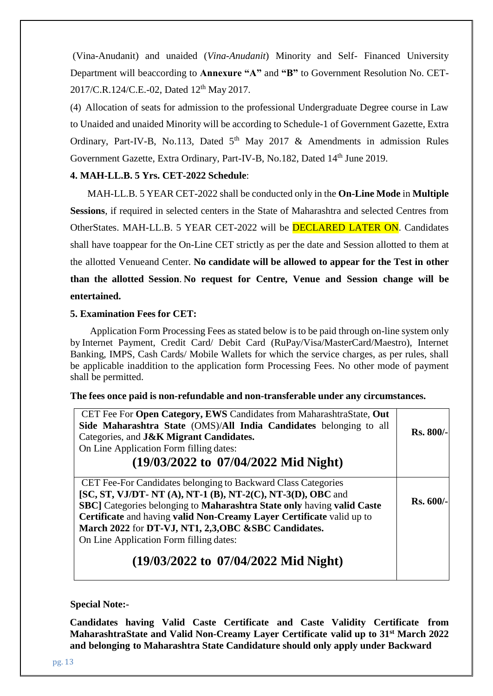(Vina-Anudanit) and unaided (*Vina-Anudanit*) Minority and Self- Financed University Department will beaccording to **Annexure "A"** and **"B"** to Government Resolution No. CET-2017/C.R.124/C.E.-02, Dated 12<sup>th</sup> May 2017.

(4) Allocation of seats for admission to the professional Undergraduate Degree course in Law to Unaided and unaided Minority will be according to Schedule-1 of Government Gazette, Extra Ordinary, Part-IV-B, No.113, Dated  $5<sup>th</sup>$  May 2017 & Amendments in admission Rules Government Gazette, Extra Ordinary, Part-IV-B, No.182, Dated 14<sup>th</sup> June 2019.

### **4. MAH-LL.B. 5 Yrs. CET-2022 Schedule**:

MAH-LL.B. 5 YEAR CET-2022 shall be conducted only in the **On-Line Mode** in **Multiple Sessions**, if required in selected centers in the State of Maharashtra and selected Centres from OtherStates. MAH-LL.B. 5 YEAR CET-2022 will be DECLARED LATER ON. Candidates shall have toappear for the On-Line CET strictly as per the date and Session allotted to them at the allotted Venueand Center. **No candidate will be allowed to appear for the Test in other than the allotted Session**. **No request for Centre, Venue and Session change will be entertained.**

#### **5. Examination Fees for CET:**

Application Form Processing Fees as stated below is to be paid through on-line system only by Internet Payment, Credit Card/ Debit Card (RuPay/Visa/MasterCard/Maestro), Internet Banking, IMPS, Cash Cards/ Mobile Wallets for which the service charges, as per rules, shall be applicable inaddition to the application form Processing Fees. No other mode of payment shall be permitted.

#### **The fees once paid is non-refundable and non-transferable under any circumstances.**

| CET Fee For Open Category, EWS Candidates from MaharashtraState, Out<br>Side Maharashtra State (OMS)/All India Candidates belonging to all<br>Categories, and <b>J&amp;K Migrant Candidates.</b><br>On Line Application Form filling dates:<br>$(19/03/2022 \text{ to } 07/04/2022 \text{ Mid Night})$                                                                              | <b>Rs. 800/-</b> |
|-------------------------------------------------------------------------------------------------------------------------------------------------------------------------------------------------------------------------------------------------------------------------------------------------------------------------------------------------------------------------------------|------------------|
| CET Fee-For Candidates belonging to Backward Class Categories<br>[SC, ST, VJ/DT- NT (A), NT-1 (B), NT-2(C), NT-3(D), OBC and<br>SBC] Categories belonging to Maharashtra State only having valid Caste<br>Certificate and having valid Non-Creamy Layer Certificate valid up to<br>March 2022 for DT-VJ, NT1, 2,3, OBC & SBC Candidates.<br>On Line Application Form filling dates: | <b>Rs. 600/-</b> |
| $(19/03/2022 \text{ to } 07/04/2022 \text{ Mid Night})$                                                                                                                                                                                                                                                                                                                             |                  |

#### **Special Note:-**

**Candidates having Valid Caste Certificate and Caste Validity Certificate from MaharashtraState and Valid Non-Creamy Layer Certificate valid up to 31st March 2022 and belonging to Maharashtra State Candidature should only apply under Backward**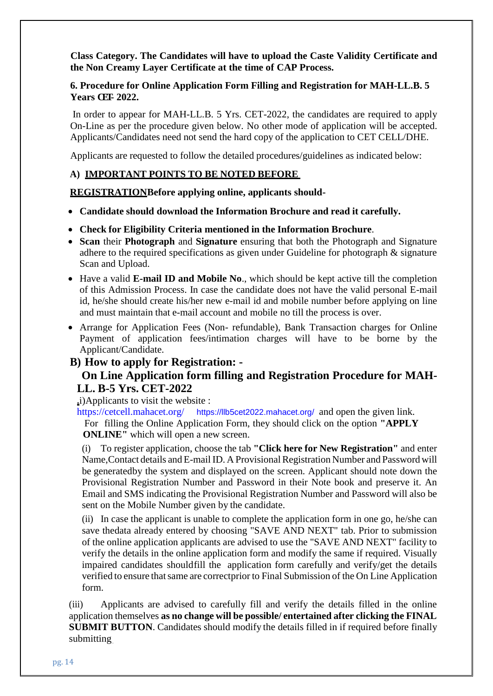**Class Category. The Candidates will have to upload the Caste Validity Certificate and the Non Creamy Layer Certificate at the time of CAP Process.**

#### **6. Procedure for Online Application Form Filling and Registration for MAH-LL.B. 5 Years CET- 2022.**

In order to appear for MAH-LL.B. 5 Yrs. CET-2022, the candidates are required to apply On-Line as per the procedure given below. No other mode of application will be accepted. Applicants/Candidates need not send the hard copy of the application to CET CELL/DHE.

Applicants are requested to follow the detailed procedures/guidelines as indicated below:

#### **A) IMPORTANT POINTS TO BE NOTED BEFORE**

**REGISTRATIONBefore applying online, applicants should-**

- **Candidate should download the Information Brochure and read it carefully.**
- **Check for Eligibility Criteria mentioned in the Information Brochure**.
- **Scan** their **Photograph** and **Signature** ensuring that both the Photograph and Signature adhere to the required specifications as given under Guideline for photograph & signature Scan and Upload.
- Have a valid **E-mail ID and Mobile No**., which should be kept active till the completion of this Admission Process. In case the candidate does not have the valid personal E-mail id, he/she should create his/her new e-mail id and mobile number before applying on line and must maintain that e-mail account and mobile no till the process is over.
- Arrange for Application Fees (Non- refundable), Bank Transaction charges for Online Payment of application fees/intimation charges will have to be borne by the Applicant/Candidate.

## **B) How to apply for Registration: -**

## **On Line Application form filling and Registration Procedure for MAH-LL. B-5 Yrs. CET-2022**

**.**i)Applicants to visit the website :

<https://cetcell.mahacet.org/><https://llb5cet2022.mahacet.org/> and open the given link. For filling the Online Application Form, they should click on the option **"APPLY ONLINE"** which will open a new screen.

(i) To register application, choose the tab **"Click here for New Registration"** and enter Name, Contact details and E-mail ID. A Provisional Registration Number and Password will be generatedby the system and displayed on the screen. Applicant should note down the Provisional Registration Number and Password in their Note book and preserve it. An Email and SMS indicating the Provisional Registration Number and Password will also be sent on the Mobile Number given by the candidate.

(ii) In case the applicant is unable to complete the application form in one go, he/she can save thedata already entered by choosing "SAVE AND NEXT" tab. Prior to submission of the online application applicants are advised to use the "SAVE AND NEXT" facility to verify the details in the online application form and modify the same if required. Visually impaired candidates shouldfill the application form carefully and verify/get the details verified to ensure thatsame are correctprior to Final Submission of the On Line Application form.

(iii) Applicants are advised to carefully fill and verify the details filled in the online application themselves **as no change will be possible/ entertained after clicking the FINAL SUBMIT BUTTON**. Candidates should modify the details filled in if required before finally submitting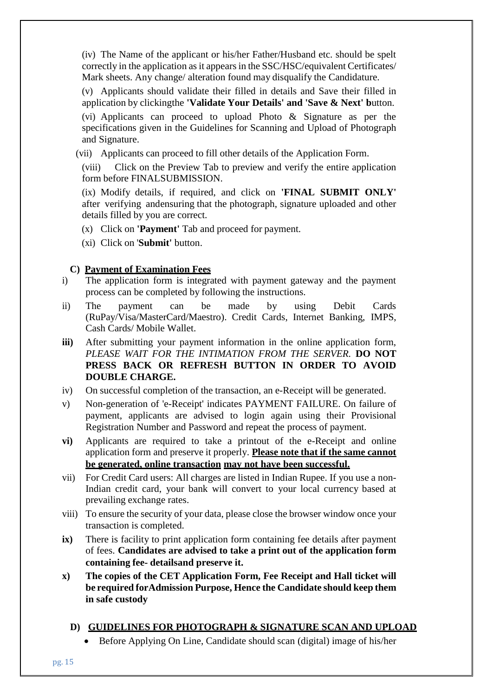(iv) The Name of the applicant or his/her Father/Husband etc. should be spelt correctly in the application as it appears in the SSC/HSC/equivalent Certificates/ Mark sheets. Any change/ alteration found may disqualify the Candidature.

(v) Applicants should validate their filled in details and Save their filled in application by clickingthe **'Validate Your Details' and 'Save & Next' b**utton.

(vi) Applicants can proceed to upload Photo & Signature as per the specifications given in the Guidelines for Scanning and Upload of Photograph and Signature.

(vii) Applicants can proceed to fill other details of the Application Form.

(viii) Click on the Preview Tab to preview and verify the entire application form before FINALSUBMISSION.

(ix) Modify details, if required, and click on **'FINAL SUBMIT ONLY'** after verifying andensuring that the photograph, signature uploaded and other details filled by you are correct.

- (x) Click on **'Payment'** Tab and proceed for payment.
- (xi) Click on '**Submit'** button.

#### **C) Payment of Examination Fees**

- i) The application form is integrated with payment gateway and the payment process can be completed by following the instructions.
- ii) The payment can be made by using Debit Cards (RuPay/Visa/MasterCard/Maestro). Credit Cards, Internet Banking, IMPS, Cash Cards/ Mobile Wallet.
- **iii)** After submitting your payment information in the online application form, *PLEASE WAIT FOR THE INTIMATION FROM THE SERVER.* **DO NOT PRESS BACK OR REFRESH BUTTON IN ORDER TO AVOID DOUBLE CHARGE.**
- iv) On successful completion of the transaction, an e-Receipt will be generated.
- v) Non-generation of 'e-Receipt' indicates PAYMENT FAILURE. On failure of payment, applicants are advised to login again using their Provisional Registration Number and Password and repeat the process of payment.
- **vi)** Applicants are required to take a printout of the e-Receipt and online application form and preserve it properly. **Please note that if the same cannot be generated, online transaction may not have been successful.**
- vii) For Credit Card users: All charges are listed in Indian Rupee. If you use a non-Indian credit card, your bank will convert to your local currency based at prevailing exchange rates.
- viii) To ensure the security of your data, please close the browser window once your transaction is completed.
- **ix)** There is facility to print application form containing fee details after payment of fees. **Candidates are advised to take a print out of the application form containing fee- detailsand preserve it.**
- **x) The copies of the CET Application Form, Fee Receipt and Hall ticket will be required forAdmission Purpose, Hence the Candidate should keep them in safe custody**
	- **D) GUIDELINES FOR PHOTOGRAPH & SIGNATURE SCAN AND UPLOAD**
		- Before Applying On Line, Candidate should scan (digital) image of his/her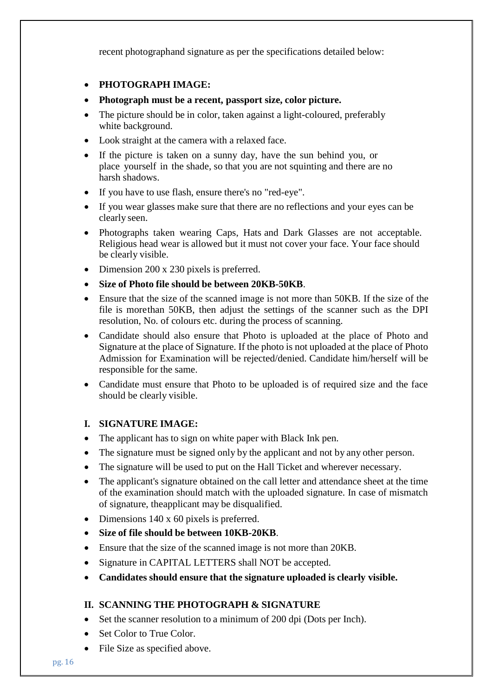recent photographand signature as per the specifications detailed below:

- **PHOTOGRAPH IMAGE:**
- **Photograph must be a recent, passport size, color picture.**
- The picture should be in color, taken against a light-coloured, preferably white background.
- Look straight at the camera with a relaxed face.
- If the picture is taken on a sunny day, have the sun behind you, or place yourself in the shade, so that you are not squinting and there are no harsh shadows.
- If you have to use flash, ensure there's no "red-eye".
- If you wear glasses make sure that there are no reflections and your eyes can be clearly seen.
- Photographs taken wearing Caps, Hats and Dark Glasses are not acceptable. Religious head wear is allowed but it must not cover your face. Your face should be clearly visible.
- Dimension 200 x 230 pixels is preferred.
- **Size of Photo file should be between 20KB-50KB**.
- Ensure that the size of the scanned image is not more than 50KB. If the size of the file is morethan 50KB, then adjust the settings of the scanner such as the DPI resolution, No. of colours etc. during the process of scanning.
- Candidate should also ensure that Photo is uploaded at the place of Photo and Signature at the place of Signature. If the photo is not uploaded at the place of Photo Admission for Examination will be rejected/denied. Candidate him/herself will be responsible for the same.
- Candidate must ensure that Photo to be uploaded is of required size and the face should be clearly visible.

## **I. SIGNATURE IMAGE:**

- The applicant has to sign on white paper with Black Ink pen.
- The signature must be signed only by the applicant and not by any other person.
- The signature will be used to put on the Hall Ticket and wherever necessary.
- The applicant's signature obtained on the call letter and attendance sheet at the time of the examination should match with the uploaded signature. In case of mismatch of signature, theapplicant may be disqualified.
- Dimensions 140 x 60 pixels is preferred.
- **Size of file should be between 10KB-20KB**.
- Ensure that the size of the scanned image is not more than 20KB.
- Signature in CAPITAL LETTERS shall NOT be accepted.
- **Candidates should ensure that the signature uploaded is clearly visible.**

## **II. SCANNING THE PHOTOGRAPH & SIGNATURE**

- Set the scanner resolution to a minimum of 200 dpi (Dots per Inch).
- Set Color to True Color.
- File Size as specified above.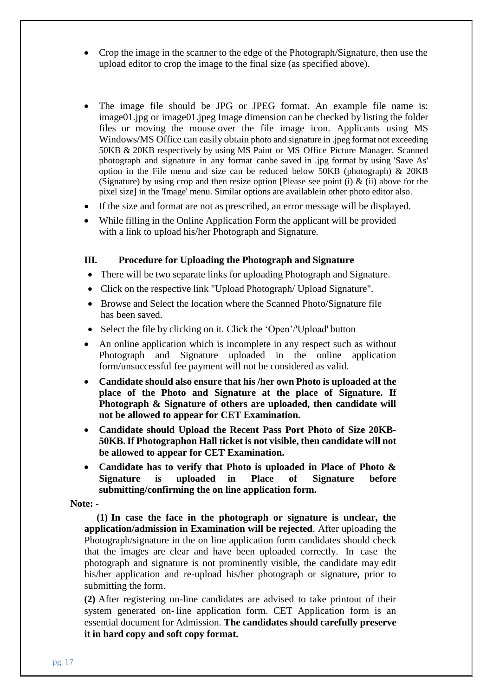- Crop the image in the scanner to the edge of the Photograph/Signature, then use the upload editor to crop the image to the final size (as specified above).
- The image file should be JPG or JPEG format. An example file name is: image01.jpg or image01.jpeg Image dimension can be checked by listing the folder files or moving the mouse over the file image icon. Applicants using MS Windows/MS Office can easily obtain photo and signature in .jpeg format not exceeding 50KB & 20KB respectively by using MS Paint or MS Office Picture Manager. Scanned photograph and signature in any format canbe saved in .jpg format by using 'Save As' option in the File menu and size can be reduced below 50KB (photograph) & 20KB (Signature) by using crop and then resize option [Please see point (i)  $\&$  (ii) above for the pixel size] in the 'Image' menu. Similar options are availablein other photo editor also.
- If the size and format are not as prescribed, an error message will be displayed.
- While filling in the Online Application Form the applicant will be provided with a link to upload his/her Photograph and Signature.

#### **III. Procedure for Uploading the Photograph and Signature**

- There will be two separate links for uploading Photograph and Signature.
- Click on the respective link "Upload Photograph/ Upload Signature".
- Browse and Select the location where the Scanned Photo/Signature file has been saved.
- Select the file by clicking on it. Click the 'Open'/'Upload' button
- An online application which is incomplete in any respect such as without Photograph and Signature uploaded in the online application form/unsuccessful fee payment will not be considered as valid.
- **Candidate should also ensure that his /her own Photo is uploaded at the place of the Photo and Signature at the place of Signature. If Photograph & Signature of others are uploaded, then candidate will not be allowed to appear for CET Examination.**
- **Candidate should Upload the Recent Pass Port Photo of Size 20KB-50KB.If Photographon Hall ticket is not visible, then candidate will not be allowed to appear for CET Examination.**
- **Candidate has to verify that Photo is uploaded in Place of Photo & Signature is uploaded in Place of Signature before submitting/confirming the on line application form.**

**Note: -**

**(1) In case the face in the photograph or signature is unclear, the application/admission in Examination will be rejected**. After uploading the Photograph/signature in the on line application form candidates should check that the images are clear and have been uploaded correctly. In case the photograph and signature is not prominently visible, the candidate may edit his/her application and re-upload his/her photograph or signature, prior to submitting the form.

**(2)** After registering on-line candidates are advised to take printout of their system generated on- line application form. CET Application form is an essential document for Admission. **The candidates should carefully preserve it in hard copy and soft copy format.**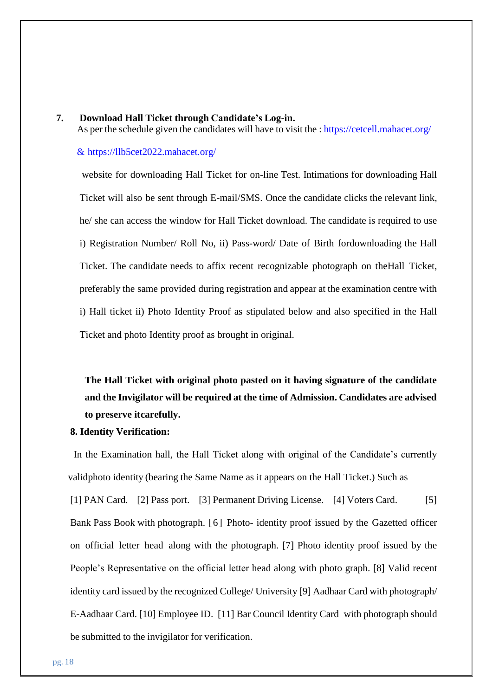#### **7. Download Hall Ticket through Candidate's Log-in.**

As per the schedule given the candidates will have to visit the : https://cetcell.mahacet.org/

#### & <https://llb5cet2022.mahacet.org/>

website for downloading Hall Ticket for on-line Test. Intimations for downloading Hall Ticket will also be sent through E-mail/SMS. Once the candidate clicks the relevant link, he/ she can access the window for Hall Ticket download. The candidate is required to use i) Registration Number/ Roll No, ii) Pass-word/ Date of Birth fordownloading the Hall Ticket. The candidate needs to affix recent recognizable photograph on theHall Ticket, preferably the same provided during registration and appear at the examination centre with i) Hall ticket ii) Photo Identity Proof as stipulated below and also specified in the Hall Ticket and photo Identity proof as brought in original.

**The Hall Ticket with original photo pasted on it having signature of the candidate and the Invigilator will be required at the time of Admission. Candidates are advised to preserve itcarefully.**

#### **8. Identity Verification:**

In the Examination hall, the Hall Ticket along with original of the Candidate's currently validphoto identity (bearing the Same Name as it appears on the Hall Ticket.) Such as [1] PAN Card. [2] Pass port. [3] Permanent Driving License. [4] Voters Card. [5] Bank Pass Book with photograph. [6] Photo- identity proof issued by the Gazetted officer on official letter head along with the photograph. [7] Photo identity proof issued by the People's Representative on the official letter head along with photo graph. [8] Valid recent identity card issued by the recognized College/ University [9] Aadhaar Card with photograph/ E-Aadhaar Card. [10] Employee ID. [11] Bar Council Identity Card with photograph should be submitted to the invigilator for verification.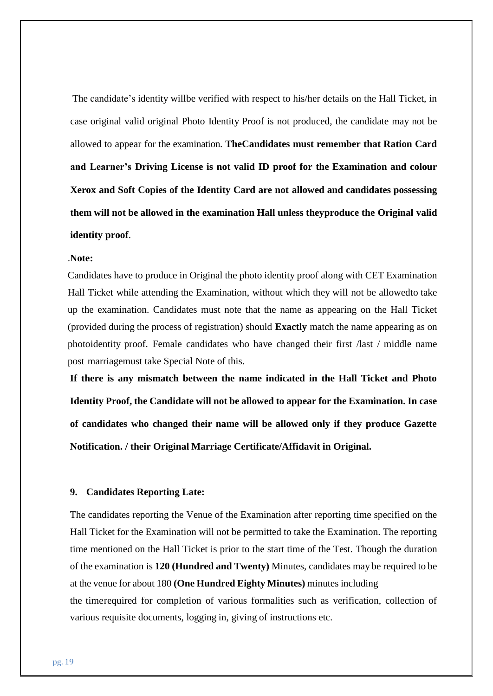The candidate's identity willbe verified with respect to his/her details on the Hall Ticket, in case original valid original Photo Identity Proof is not produced, the candidate may not be allowed to appear for the examination. **TheCandidates must remember that Ration Card and Learner's Driving License is not valid ID proof for the Examination and colour Xerox and Soft Copies of the Identity Card are not allowed and candidates possessing them will not be allowed in the examination Hall unless theyproduce the Original valid identity proof**.

#### .**Note:**

Candidates have to produce in Original the photo identity proof along with CET Examination Hall Ticket while attending the Examination, without which they will not be allowedto take up the examination. Candidates must note that the name as appearing on the Hall Ticket (provided during the process of registration) should **Exactly** match the name appearing as on photoidentity proof. Female candidates who have changed their first /last / middle name post marriagemust take Special Note of this.

**If there is any mismatch between the name indicated in the Hall Ticket and Photo Identity Proof, the Candidate will not be allowed to appear for the Examination. In case of candidates who changed their name will be allowed only if they produce Gazette Notification. / their Original Marriage Certificate/Affidavit in Original.**

#### **9. Candidates Reporting Late:**

The candidates reporting the Venue of the Examination after reporting time specified on the Hall Ticket for the Examination will not be permitted to take the Examination. The reporting time mentioned on the Hall Ticket is prior to the start time of the Test. Though the duration of the examination is **120 (Hundred and Twenty)** Minutes, candidates may be required to be at the venue for about 180 **(One Hundred Eighty Minutes)** minutes including the timerequired for completion of various formalities such as verification, collection of various requisite documents, logging in, giving of instructions etc.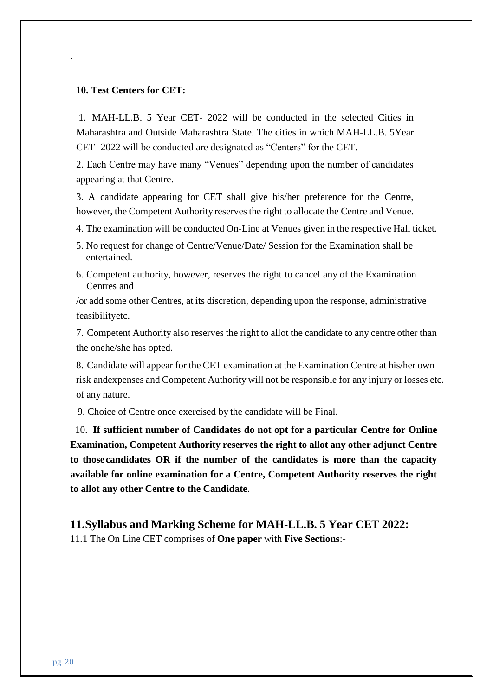#### **10. Test Centers for CET:**

.

1. MAH-LL.B. 5 Year CET- 2022 will be conducted in the selected Cities in Maharashtra and Outside Maharashtra State. The cities in which MAH-LL.B. 5Year CET- 2022 will be conducted are designated as "Centers" for the CET.

2. Each Centre may have many "Venues" depending upon the number of candidates appearing at that Centre.

3. A candidate appearing for CET shall give his/her preference for the Centre, however, the Competent Authority reserves the right to allocate the Centre and Venue.

4. The examination will be conducted On-Line at Venues given in the respective Hall ticket.

- 5. No request for change of Centre/Venue/Date/ Session for the Examination shall be entertained.
- 6. Competent authority, however, reserves the right to cancel any of the Examination Centres and

/or add some other Centres, at its discretion, depending upon the response, administrative feasibilityetc.

7. Competent Authority also reserves the right to allot the candidate to any centre other than the onehe/she has opted.

8. Candidate will appear for the CET examination at the Examination Centre at his/her own risk andexpenses and Competent Authority will not be responsible for any injury or losses etc. of any nature.

9. Choice of Centre once exercised by the candidate will be Final.

10. **If sufficient number of Candidates do not opt for a particular Centre for Online Examination, Competent Authority reserves the right to allot any other adjunct Centre to thosecandidates OR if the number of the candidates is more than the capacity available for online examination for a Centre, Competent Authority reserves the right to allot any other Centre to the Candidate**.

**11.Syllabus and Marking Scheme for MAH-LL.B. 5 Year CET 2022:** 11.1 The On Line CET comprises of **One paper** with **Five Sections**:-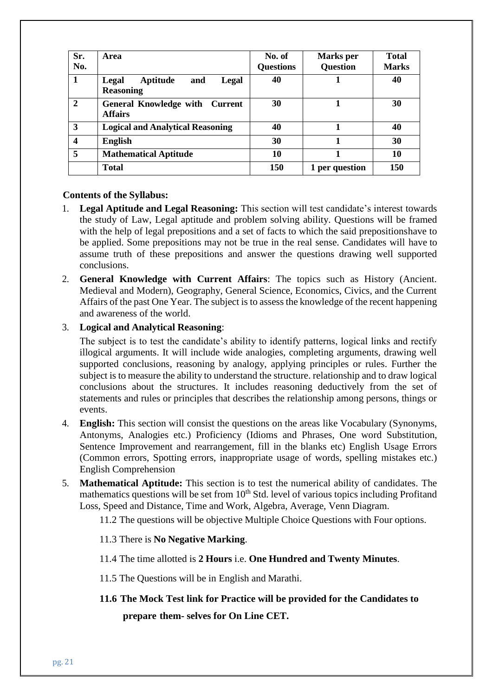| Sr.<br>No.     | <b>Area</b>                                             | No. of<br><b>Questions</b> | <b>Marks</b> per<br><b>Question</b> | <b>Total</b><br><b>Marks</b> |
|----------------|---------------------------------------------------------|----------------------------|-------------------------------------|------------------------------|
| 1              | Aptitude<br>Legal<br>and<br>Legal<br><b>Reasoning</b>   | 40                         |                                     | 40                           |
| $\overline{2}$ | <b>General Knowledge with Current</b><br><b>Affairs</b> | 30                         |                                     | 30                           |
| 3              | <b>Logical and Analytical Reasoning</b>                 | 40                         |                                     | 40                           |
| 4              | <b>English</b>                                          | 30                         |                                     | 30                           |
| 5              | <b>Mathematical Aptitude</b>                            | 10                         |                                     | 10                           |
|                | <b>Total</b>                                            | 150                        | 1 per question                      | 150                          |

#### **Contents of the Syllabus:**

- 1. **Legal Aptitude and Legal Reasoning:** This section will test candidate's interest towards the study of Law, Legal aptitude and problem solving ability. Questions will be framed with the help of legal prepositions and a set of facts to which the said prepositionshave to be applied. Some prepositions may not be true in the real sense. Candidates will have to assume truth of these prepositions and answer the questions drawing well supported conclusions.
- 2. **General Knowledge with Current Affairs**: The topics such as History (Ancient. Medieval and Modern), Geography, General Science, Economics, Civics, and the Current Affairs of the past One Year. The subject is to assess the knowledge of the recent happening and awareness of the world.

#### 3. **Logical and Analytical Reasoning**:

The subject is to test the candidate's ability to identify patterns, logical links and rectify illogical arguments. It will include wide analogies, completing arguments, drawing well supported conclusions, reasoning by analogy, applying principles or rules. Further the subject is to measure the ability to understand the structure. relationship and to draw logical conclusions about the structures. It includes reasoning deductively from the set of statements and rules or principles that describes the relationship among persons, things or events.

- 4. **English:** This section will consist the questions on the areas like Vocabulary (Synonyms, Antonyms, Analogies etc.) Proficiency (Idioms and Phrases, One word Substitution, Sentence Improvement and rearrangement, fill in the blanks etc) English Usage Errors (Common errors, Spotting errors, inappropriate usage of words, spelling mistakes etc.) English Comprehension
- 5. **Mathematical Aptitude:** This section is to test the numerical ability of candidates. The mathematics questions will be set from  $10<sup>th</sup>$  Std. level of various topics including Profitand Loss, Speed and Distance, Time and Work, Algebra, Average, Venn Diagram.
	- 11.2 The questions will be objective Multiple Choice Questions with Four options.

#### 11.3 There is **No Negative Marking**.

- 11.4 The time allotted is **2 Hours** i.e. **One Hundred and Twenty Minutes**.
- 11.5 The Questions will be in English and Marathi.
- **11.6 The Mock Test link for Practice will be provided for the Candidates to**

**prepare them- selves for On Line CET.**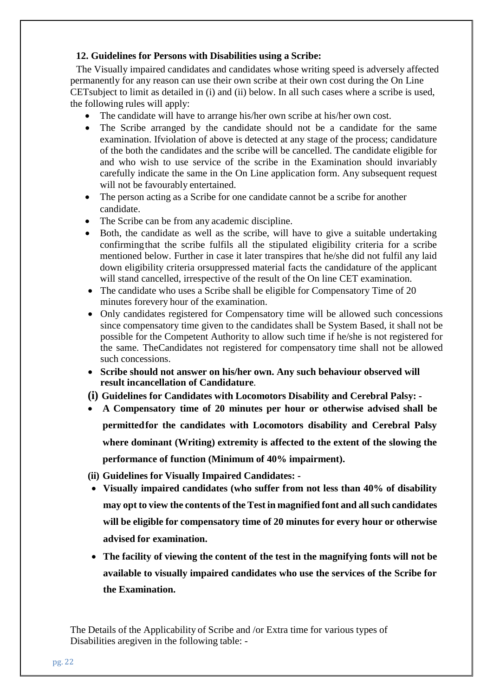#### **12. Guidelines for Persons with Disabilities using a Scribe:**

The Visually impaired candidates and candidates whose writing speed is adversely affected permanently for any reason can use their own scribe at their own cost during the On Line CETsubject to limit as detailed in (i) and (ii) below. In all such cases where a scribe is used, the following rules will apply:

- The candidate will have to arrange his/her own scribe at his/her own cost.
- The Scribe arranged by the candidate should not be a candidate for the same examination. Ifviolation of above is detected at any stage of the process; candidature of the both the candidates and the scribe will be cancelled. The candidate eligible for and who wish to use service of the scribe in the Examination should invariably carefully indicate the same in the On Line application form. Any subsequent request will not be favourably entertained.
- The person acting as a Scribe for one candidate cannot be a scribe for another candidate.
- The Scribe can be from any academic discipline.
- Both, the candidate as well as the scribe, will have to give a suitable undertaking confirmingthat the scribe fulfils all the stipulated eligibility criteria for a scribe mentioned below. Further in case it later transpires that he/she did not fulfil any laid down eligibility criteria orsuppressed material facts the candidature of the applicant will stand cancelled, irrespective of the result of the On line CET examination.
- The candidate who uses a Scribe shall be eligible for Compensatory Time of 20 minutes forevery hour of the examination.
- Only candidates registered for Compensatory time will be allowed such concessions since compensatory time given to the candidates shall be System Based, it shall not be possible for the Competent Authority to allow such time if he/she is not registered for the same. TheCandidates not registered for compensatory time shall not be allowed such concessions.
- **Scribe should not answer on his/her own. Any such behaviour observed will result incancellation of Candidature**.
- **(i) Guidelines for Candidates with Locomotors Disability and Cerebral Palsy: -**
- **A Compensatory time of 20 minutes per hour or otherwise advised shall be permittedfor the candidates with Locomotors disability and Cerebral Palsy where dominant (Writing) extremity is affected to the extent of the slowing the performance of function (Minimum of 40% impairment).**
- **(ii) Guidelines for Visually Impaired Candidates: -**
- **Visually impaired candidates (who suffer from not less than 40% of disability may opt to view the contents of the Test in magnified font and allsuch candidates will be eligible for compensatory time of 20 minutes for every hour or otherwise advised for examination.**
- **The facility of viewing the content of the test in the magnifying fonts will not be available to visually impaired candidates who use the services of the Scribe for the Examination.**

The Details of the Applicability of Scribe and /or Extra time for various types of Disabilities aregiven in the following table: -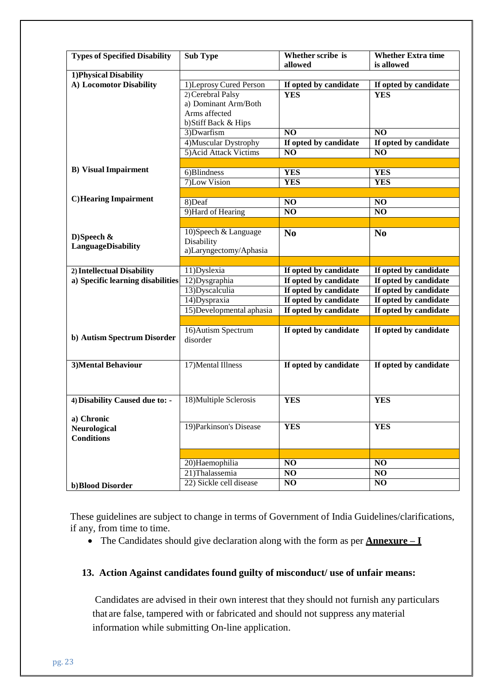| <b>Types of Specified Disability</b> | <b>Sub Type</b>          | Whether scribe is     | <b>Whether Extra time</b> |
|--------------------------------------|--------------------------|-----------------------|---------------------------|
|                                      |                          | allowed               | is allowed                |
| 1) Physical Disability               |                          |                       |                           |
| A) Locomotor Disability              | 1) Leprosy Cured Person  | If opted by candidate | If opted by candidate     |
|                                      | 2) Cerebral Palsy        | <b>YES</b>            | <b>YES</b>                |
|                                      | a) Dominant Arm/Both     |                       |                           |
|                                      | Arms affected            |                       |                           |
|                                      | b) Stiff Back & Hips     |                       |                           |
|                                      | 3)Dwarfism               | $\overline{NQ}$       | $\overline{NQ}$           |
|                                      | 4) Muscular Dystrophy    | If opted by candidate | If opted by candidate     |
|                                      | 5) Acid Attack Victims   | $\overline{NQ}$       | $\overline{NQ}$           |
|                                      |                          |                       |                           |
| <b>B</b> ) Visual Impairment         | 6)Blindness              | <b>YES</b>            | <b>YES</b>                |
|                                      | 7)Low Vision             | <b>YES</b>            | <b>YES</b>                |
|                                      |                          |                       |                           |
| <b>C)</b> Hearing Impairment         | 8)Deaf                   | N <sub>O</sub>        | NO                        |
|                                      | 9) Hard of Hearing       | $\overline{NQ}$       | NO                        |
|                                      |                          |                       |                           |
|                                      | 10) Speech & Language    | N <sub>0</sub>        | N <sub>0</sub>            |
| D)Speech $\&$                        | Disability               |                       |                           |
| LanguageDisability                   | a)Laryngectomy/Aphasia   |                       |                           |
|                                      |                          |                       |                           |
| 2) Intellectual Disability           | 11)Dyslexia              | If opted by candidate | If opted by candidate     |
| a) Specific learning disabilities    | 12) Dysgraphia           | If opted by candidate | If opted by candidate     |
|                                      | 13)Dyscalculia           | If opted by candidate | If opted by candidate     |
|                                      | 14) Dyspraxia            | If opted by candidate | If opted by candidate     |
|                                      | 15)Developmental aphasia | If opted by candidate | If opted by candidate     |
|                                      |                          |                       |                           |
|                                      | 16) Autism Spectrum      | If opted by candidate | If opted by candidate     |
| b) Autism Spectrum Disorder          | disorder                 |                       |                           |
|                                      |                          |                       |                           |
|                                      |                          |                       |                           |
| <b>3)Mental Behaviour</b>            | 17) Mental Illness       | If opted by candidate | If opted by candidate     |
|                                      |                          |                       |                           |
|                                      |                          |                       |                           |
| 4) Disability Caused due to: -       | 18) Multiple Sclerosis   | <b>YES</b>            | <b>YES</b>                |
|                                      |                          |                       |                           |
| a) Chronic                           |                          |                       |                           |
| Neurological                         | 19) Parkinson's Disease  | <b>YES</b>            | <b>YES</b>                |
| <b>Conditions</b>                    |                          |                       |                           |
|                                      |                          |                       |                           |
|                                      |                          |                       |                           |
|                                      | 20)Haemophilia           | N <sub>O</sub>        | NO                        |
|                                      | 21)Thalassemia           | $\overline{N}$        | $\overline{NO}$           |
| b) Blood Disorder                    | 22) Sickle cell disease  | N <sub>0</sub>        | N <sub>O</sub>            |

These guidelines are subject to change in terms of Government of India Guidelines/clarifications, if any, from time to time.

The Candidates should give declaration along with the form as per **Annexure – I**

#### **13. Action Against candidates found guilty of misconduct/ use of unfair means:**

Candidates are advised in their own interest that they should not furnish any particulars that are false, tampered with or fabricated and should not suppress any material information while submitting On-line application.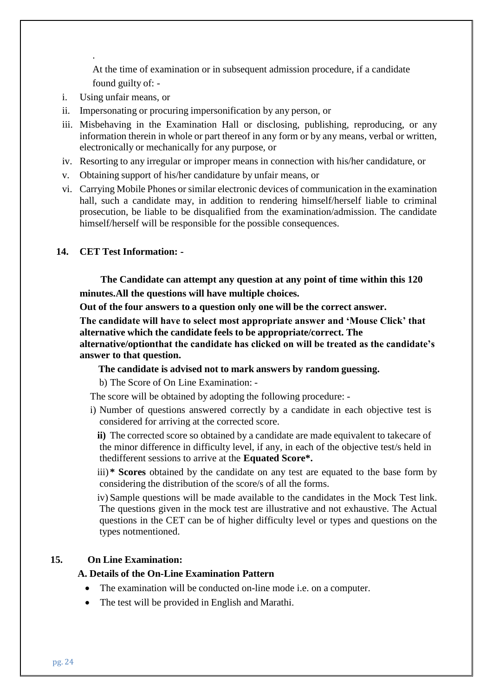At the time of examination or in subsequent admission procedure, if a candidate found guilty of: -

i. Using unfair means, or

.

- ii. Impersonating or procuring impersonification by any person, or
- iii. Misbehaving in the Examination Hall or disclosing, publishing, reproducing, or any information therein in whole or part thereof in any form or by any means, verbal or written, electronically or mechanically for any purpose, or
- iv. Resorting to any irregular or improper means in connection with his/her candidature, or
- v. Obtaining support of his/her candidature by unfair means, or
- vi. Carrying Mobile Phones or similar electronic devices of communication in the examination hall, such a candidate may, in addition to rendering himself/herself liable to criminal prosecution, be liable to be disqualified from the examination/admission. The candidate himself/herself will be responsible for the possible consequences.

#### **14. CET Test Information: -**

**The Candidate can attempt any question at any point of time within this 120 minutes.All the questions will have multiple choices.**

**Out of the four answers to a question only one will be the correct answer.**

**The candidate will have to select most appropriate answer and 'Mouse Click' that alternative which the candidate feels to be appropriate/correct. The**

**alternative/optionthat the candidate has clicked on will be treated as the candidate's answer to that question.**

#### **The candidate is advised not to mark answers by random guessing.**

b) The Score of On Line Examination: -

The score will be obtained by adopting the following procedure: -

i) Number of questions answered correctly by a candidate in each objective test is considered for arriving at the corrected score.

**ii)** The corrected score so obtained by a candidate are made equivalent to takecare of the minor difference in difficulty level, if any, in each of the objective test/s held in thedifferent sessions to arrive at the **Equated Score\*.**

iii) **\* Scores** obtained by the candidate on any test are equated to the base form by considering the distribution of the score/s of all the forms.

iv) Sample questions will be made available to the candidates in the Mock Test link. The questions given in the mock test are illustrative and not exhaustive. The Actual questions in the CET can be of higher difficulty level or types and questions on the types notmentioned.

#### **15. On Line Examination:**

#### **A. Details of the On-Line Examination Pattern**

- The examination will be conducted on-line mode i.e. on a computer.
- The test will be provided in English and Marathi.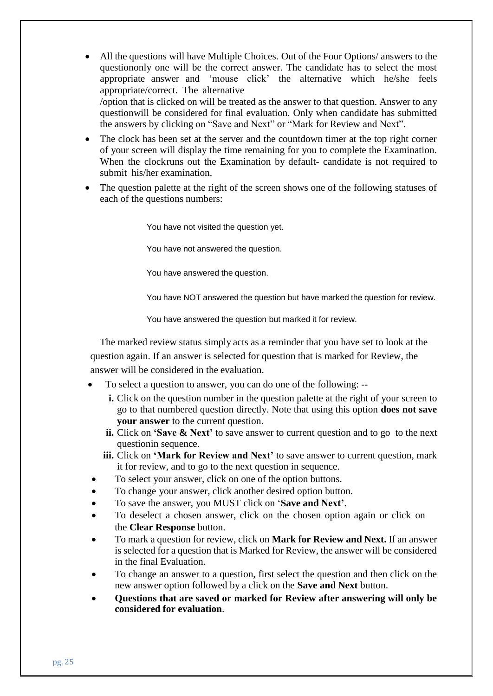- All the questions will have Multiple Choices. Out of the Four Options/ answers to the questiononly one will be the correct answer. The candidate has to select the most appropriate answer and 'mouse click' the alternative which he/she feels appropriate/correct. The alternative /option that is clicked on will be treated as the answer to that question. Answer to any questionwill be considered for final evaluation. Only when candidate has submitted the answers by clicking on "Save and Next" or "Mark for Review and Next".
- The clock has been set at the server and the countdown timer at the top right corner of your screen will display the time remaining for you to complete the Examination. When the clockruns out the Examination by default- candidate is not required to submit his/her examination.
- The question palette at the right of the screen shows one of the following statuses of each of the questions numbers:

You have not visited the question yet.

You have not answered the question.

You have answered the question.

You have NOT answered the question but have marked the question for review.

You have answered the question but marked it for review.

The marked review status simply acts as a reminder that you have set to look at the question again. If an answer is selected for question that is marked for Review, the answer will be considered in the evaluation.

- To select a question to answer, you can do one of the following:
	- **i.** Click on the question number in the question palette at the right of your screen to go to that numbered question directly. Note that using this option **does not save your answer** to the current question.
	- **ii.** Click on **'Save & Next'** to save answer to current question and to go to the next questionin sequence.
	- **iii.** Click on **'Mark for Review and Next'** to save answer to current question, mark it for review, and to go to the next question in sequence.
- To select your answer, click on one of the option buttons.
- To change your answer, click another desired option button.
- To save the answer, you MUST click on '**Save and Next'**.
- To deselect a chosen answer, click on the chosen option again or click on the **Clear Response** button.
- To mark a question for review, click on **Mark for Review and Next.** If an answer is selected for a question that is Marked for Review, the answer will be considered in the final Evaluation.
- To change an answer to a question, first select the question and then click on the new answer option followed by a click on the **Save and Next** button.
- **Questions that are saved or marked for Review after answering will only be considered for evaluation**.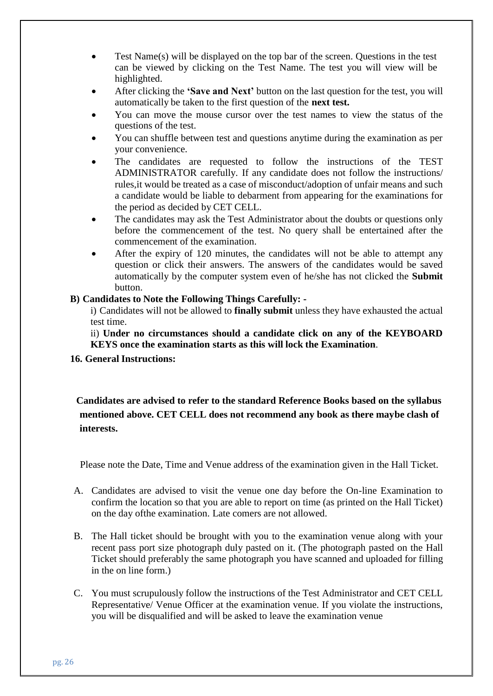- Test Name(s) will be displayed on the top bar of the screen. Questions in the test can be viewed by clicking on the Test Name. The test you will view will be highlighted.
- After clicking the **'Save and Next'** button on the last question for the test, you will automatically be taken to the first question of the **next test.**
- You can move the mouse cursor over the test names to view the status of the questions of the test.
- You can shuffle between test and questions anytime during the examination as per your convenience.
- The candidates are requested to follow the instructions of the TEST ADMINISTRATOR carefully. If any candidate does not follow the instructions/ rules,it would be treated as a case of misconduct/adoption of unfair means and such a candidate would be liable to debarment from appearing for the examinations for the period as decided by CET CELL.
- The candidates may ask the Test Administrator about the doubts or questions only before the commencement of the test. No query shall be entertained after the commencement of the examination.
- After the expiry of 120 minutes, the candidates will not be able to attempt any question or click their answers. The answers of the candidates would be saved automatically by the computer system even of he/she has not clicked the **Submit** button.

#### **B) Candidates to Note the Following Things Carefully: -**

i) Candidates will not be allowed to **finally submit** unless they have exhausted the actual test time.

ii) **Under no circumstances should a candidate click on any of the KEYBOARD KEYS once the examination starts as this will lock the Examination**.

**16. General Instructions:**

**Candidates are advised to refer to the standard Reference Books based on the syllabus mentioned above. CET CELL does not recommend any book as there maybe clash of interests.**

Please note the Date, Time and Venue address of the examination given in the Hall Ticket.

- A. Candidates are advised to visit the venue one day before the On-line Examination to confirm the location so that you are able to report on time (as printed on the Hall Ticket) on the day ofthe examination. Late comers are not allowed.
- B. The Hall ticket should be brought with you to the examination venue along with your recent pass port size photograph duly pasted on it. (The photograph pasted on the Hall Ticket should preferably the same photograph you have scanned and uploaded for filling in the on line form.)
- C. You must scrupulously follow the instructions of the Test Administrator and CET CELL Representative/ Venue Officer at the examination venue. If you violate the instructions, you will be disqualified and will be asked to leave the examination venue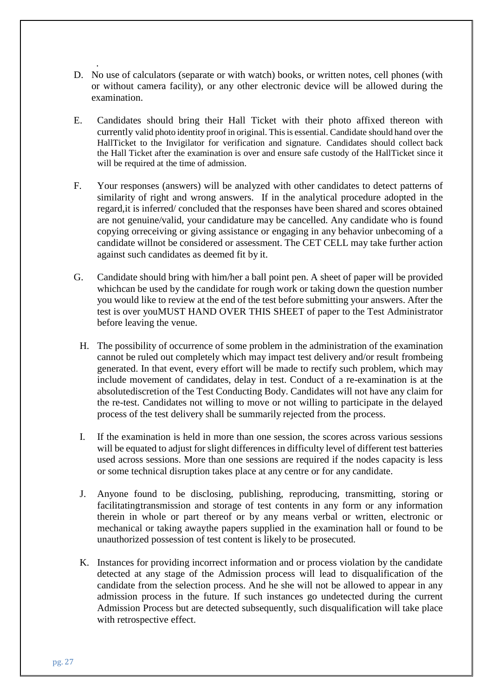- . D. No use of calculators (separate or with watch) books, or written notes, cell phones (with or without camera facility), or any other electronic device will be allowed during the examination.
- E. Candidates should bring their Hall Ticket with their photo affixed thereon with currently valid photo identity proof in original. Thisis essential. Candidate should hand over the HallTicket to the Invigilator for verification and signature. Candidates should collect back the Hall Ticket after the examination is over and ensure safe custody of the HallTicket since it will be required at the time of admission.
- F. Your responses (answers) will be analyzed with other candidates to detect patterns of similarity of right and wrong answers. If in the analytical procedure adopted in the regard,it is inferred/ concluded that the responses have been shared and scores obtained are not genuine/valid, your candidature may be cancelled. Any candidate who is found copying orreceiving or giving assistance or engaging in any behavior unbecoming of a candidate willnot be considered or assessment. The CET CELL may take further action against such candidates as deemed fit by it.
- G. Candidate should bring with him/her a ball point pen. A sheet of paper will be provided whichcan be used by the candidate for rough work or taking down the question number you would like to review at the end of the test before submitting your answers. After the test is over youMUST HAND OVER THIS SHEET of paper to the Test Administrator before leaving the venue.
	- H. The possibility of occurrence of some problem in the administration of the examination cannot be ruled out completely which may impact test delivery and/or result frombeing generated. In that event, every effort will be made to rectify such problem, which may include movement of candidates, delay in test. Conduct of a re-examination is at the absolutediscretion of the Test Conducting Body. Candidates will not have any claim for the re-test. Candidates not willing to move or not willing to participate in the delayed process of the test delivery shall be summarily rejected from the process.
	- I. If the examination is held in more than one session, the scores across various sessions will be equated to adjust for slight differences in difficulty level of different test batteries used across sessions. More than one sessions are required if the nodes capacity is less or some technical disruption takes place at any centre or for any candidate.
	- J. Anyone found to be disclosing, publishing, reproducing, transmitting, storing or facilitatingtransmission and storage of test contents in any form or any information therein in whole or part thereof or by any means verbal or written, electronic or mechanical or taking awaythe papers supplied in the examination hall or found to be unauthorized possession of test content is likely to be prosecuted.
	- K. Instances for providing incorrect information and or process violation by the candidate detected at any stage of the Admission process will lead to disqualification of the candidate from the selection process. And he she will not be allowed to appear in any admission process in the future. If such instances go undetected during the current Admission Process but are detected subsequently, such disqualification will take place with retrospective effect.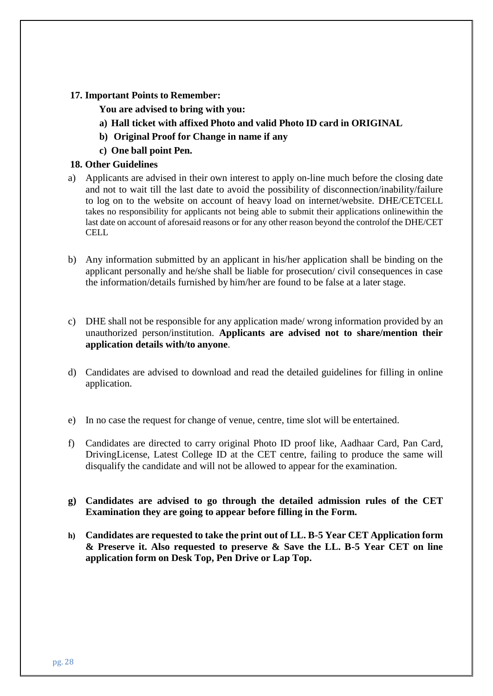#### **17. Important Points to Remember:**

#### **You are advised to bring with you:**

- **a) Hall ticket with affixed Photo and valid Photo ID card in ORIGINAL**
- **b) Original Proof for Change in name if any**
- **c) One ball point Pen.**

#### **18. Other Guidelines**

- a) Applicants are advised in their own interest to apply on-line much before the closing date and not to wait till the last date to avoid the possibility of disconnection/inability/failure to log on to the website on account of heavy load on internet/website. DHE/CETCELL takes no responsibility for applicants not being able to submit their applications onlinewithin the last date on account of aforesaid reasons or for any other reason beyond the controlof the DHE/CET **CELL**
- b) Any information submitted by an applicant in his/her application shall be binding on the applicant personally and he/she shall be liable for prosecution/ civil consequences in case the information/details furnished by him/her are found to be false at a later stage.
- c) DHE shall not be responsible for any application made/ wrong information provided by an unauthorized person/institution. **Applicants are advised not to share/mention their application details with/to anyone**.
- d) Candidates are advised to download and read the detailed guidelines for filling in online application.
- e) In no case the request for change of venue, centre, time slot will be entertained.
- f) Candidates are directed to carry original Photo ID proof like, Aadhaar Card, Pan Card, DrivingLicense, Latest College ID at the CET centre, failing to produce the same will disqualify the candidate and will not be allowed to appear for the examination.
- **g) Candidates are advised to go through the detailed admission rules of the CET Examination they are going to appear before filling in the Form.**
- **h) Candidates are requested to take the print out of LL. B-5 Year CET Application form & Preserve it. Also requested to preserve & Save the LL. B-5 Year CET on line application form on Desk Top, Pen Drive or Lap Top.**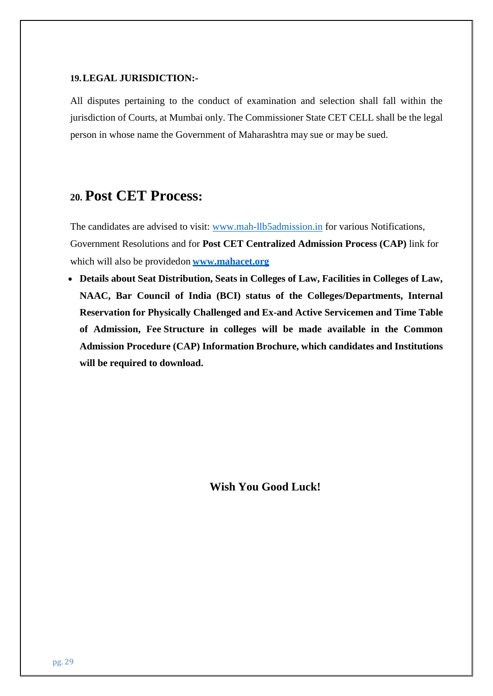#### **19.LEGAL JURISDICTION:-**

All disputes pertaining to the conduct of examination and selection shall fall within the jurisdiction of Courts, at Mumbai only. The Commissioner State CET CELL shall be the legal person in whose name the Government of Maharashtra may sue or may be sued.

# **20. Post CET Process:**

The candidates are advised to visit: [www.mah-llb5admission.in](http://www.mah-llb5admission.in/) for various Notifications, Government Resolutions and for **Post CET Centralized Admission Process (CAP)** link for which will also be providedon **[www.mahacet.org](http://www.mahacet.org/)**

 **Details about Seat Distribution, Seats in Colleges of Law, Facilities in Colleges of Law, NAAC, Bar Council of India (BCI) status of the Colleges/Departments, Internal Reservation for Physically Challenged and Ex-and Active Servicemen and Time Table of Admission, Fee Structure in colleges will be made available in the Common Admission Procedure (CAP) Information Brochure, which candidates and Institutions will be required to download.**

**Wish You Good Luck!**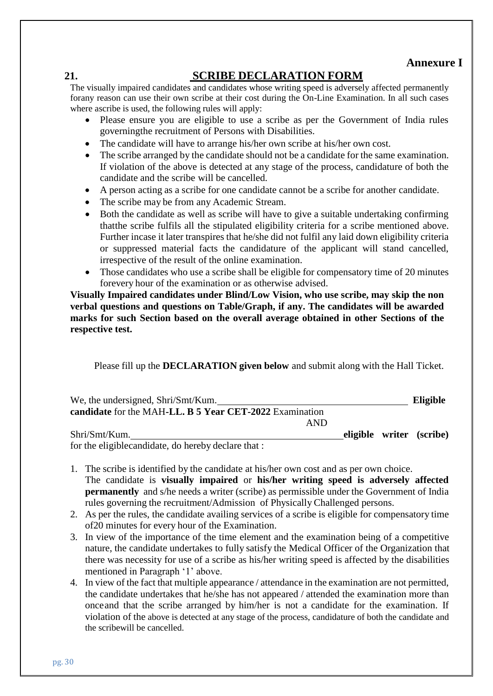## **Annexure I**

## **21. SCRIBE DECLARATION FORM**

The visually impaired candidates and candidates whose writing speed is adversely affected permanently forany reason can use their own scribe at their cost during the On-Line Examination. In all such cases where ascribe is used, the following rules will apply:

- Please ensure you are eligible to use a scribe as per the Government of India rules governingthe recruitment of Persons with Disabilities.
- The candidate will have to arrange his/her own scribe at his/her own cost.
- The scribe arranged by the candidate should not be a candidate for the same examination. If violation of the above is detected at any stage of the process, candidature of both the candidate and the scribe will be cancelled.
- A person acting as a scribe for one candidate cannot be a scribe for another candidate.
- The scribe may be from any Academic Stream.
- Both the candidate as well as scribe will have to give a suitable undertaking confirming thatthe scribe fulfils all the stipulated eligibility criteria for a scribe mentioned above. Further incase it later transpires that he/she did not fulfil any laid down eligibility criteria or suppressed material facts the candidature of the applicant will stand cancelled, irrespective of the result of the online examination.
- Those candidates who use a scribe shall be eligible for compensatory time of 20 minutes forevery hour of the examination or as otherwise advised.

**Visually Impaired candidates under Blind/Low Vision, who use scribe, may skip the non verbal questions and questions on Table/Graph, if any. The candidates will be awarded marks for such Section based on the overall average obtained in other Sections of the respective test.**

Please fill up the **DECLARATION given below** and submit along with the Hall Ticket.

| We, the undersigned, Shri/Smt/Kum.                      |  | Eligible                 |
|---------------------------------------------------------|--|--------------------------|
| candidate for the MAH-LL, B 5 Year CET-2022 Examination |  |                          |
| AND                                                     |  |                          |
| Shri/Smt/Kum.                                           |  | eligible writer (scribe) |
|                                                         |  |                          |

for the eligiblecandidate, do hereby declare that :

- 1. The scribe is identified by the candidate at his/her own cost and as per own choice. The candidate is **visually impaired** or **his/her writing speed is adversely affected permanently** and s/he needs a writer (scribe) as permissible under the Government of India rules governing the recruitment/Admission of Physically Challenged persons.
- 2. As per the rules, the candidate availing services of a scribe is eligible for compensatory time of20 minutes for every hour of the Examination.
- 3. In view of the importance of the time element and the examination being of a competitive nature, the candidate undertakes to fully satisfy the Medical Officer of the Organization that there was necessity for use of a scribe as his/her writing speed is affected by the disabilities mentioned in Paragraph '1' above.
- 4. In view of the fact that multiple appearance / attendance in the examination are not permitted, the candidate undertakes that he/she has not appeared / attended the examination more than onceand that the scribe arranged by him/her is not a candidate for the examination. If violation of the above is detected at any stage of the process, candidature of both the candidate and the scribewill be cancelled.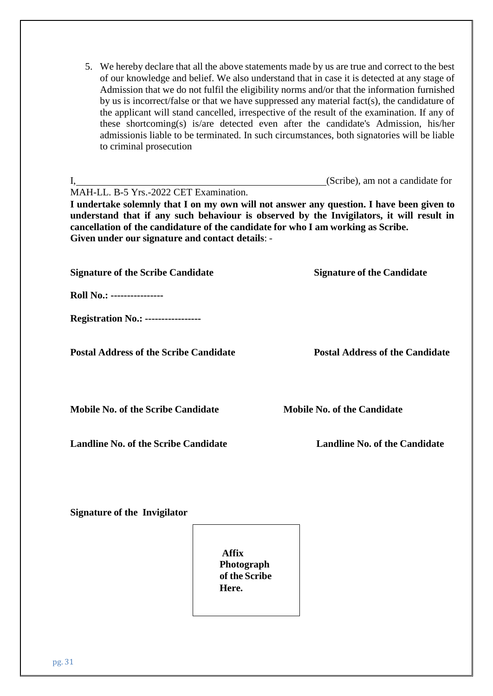| 5. We hereby declare that all the above statements made by us are true and correct to the best |
|------------------------------------------------------------------------------------------------|
| of our knowledge and belief. We also understand that in case it is detected at any stage of    |
| Admission that we do not fulfil the eligibility norms and/or that the information furnished    |
| by us is incorrect/false or that we have suppressed any material fact(s), the candidature of   |
| the applicant will stand cancelled, irrespective of the result of the examination. If any of   |
| these shortcoming(s) is/are detected even after the candidate's Admission, his/her             |
| admissionis liable to be terminated. In such circumstances, both signatories will be liable    |
|                                                                                                |
|                                                                                                |

| I,<br>MAH-LL. B-5 Yrs.-2022 CET Examination.<br>(Scribe), am not a candidate for<br>I undertake solemnly that I on my own will not answer any question. I have been given to<br>understand that if any such behaviour is observed by the Invigilators, it will result in<br>cancellation of the candidature of the candidate for who I am working as Scribe. |                                        |  |
|--------------------------------------------------------------------------------------------------------------------------------------------------------------------------------------------------------------------------------------------------------------------------------------------------------------------------------------------------------------|----------------------------------------|--|
| Given under our signature and contact details: -                                                                                                                                                                                                                                                                                                             |                                        |  |
| <b>Signature of the Scribe Candidate</b>                                                                                                                                                                                                                                                                                                                     | <b>Signature of the Candidate</b>      |  |
| Roll No.: ----------------                                                                                                                                                                                                                                                                                                                                   |                                        |  |
| <b>Registration No.: ----------------</b>                                                                                                                                                                                                                                                                                                                    |                                        |  |
| <b>Postal Address of the Scribe Candidate</b>                                                                                                                                                                                                                                                                                                                | <b>Postal Address of the Candidate</b> |  |
| <b>Mobile No. of the Scribe Candidate</b>                                                                                                                                                                                                                                                                                                                    | <b>Mobile No. of the Candidate</b>     |  |
| <b>Landline No. of the Scribe Candidate</b>                                                                                                                                                                                                                                                                                                                  | <b>Landline No. of the Candidate</b>   |  |
|                                                                                                                                                                                                                                                                                                                                                              |                                        |  |

**Signature of the Invigilator**

**Affix Photograph of the Scribe Here.**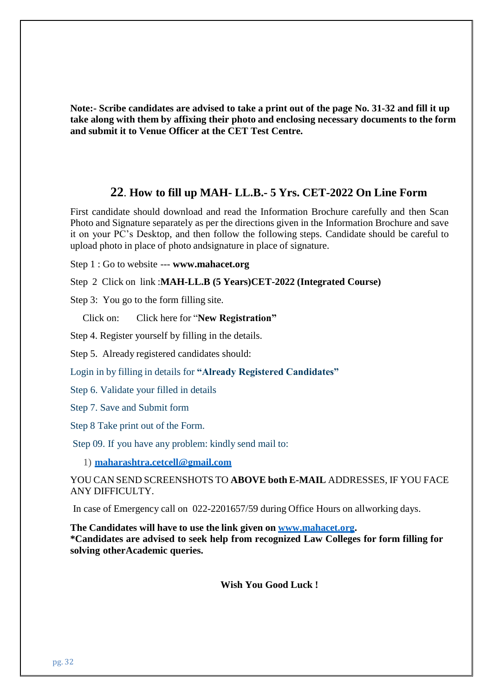**Note:- Scribe candidates are advised to take a print out of the page No. 31-32 and fill it up take along with them by affixing their photo and enclosing necessary documents to the form and submit it to Venue Officer at the CET Test Centre.**

#### **22**. **How to fill up MAH- LL.B.- 5 Yrs. CET-2022 On Line Form**

First candidate should download and read the Information Brochure carefully and then Scan Photo and Signature separately as per the directions given in the Information Brochure and save it on your PC's Desktop, and then follow the following steps. Candidate should be careful to upload photo in place of photo andsignature in place of signature.

Step 1 : Go to website --- **[www.mahacet.org](http://www.mahacet.org/)**

Step 2 Click on link :**MAH-LL.B (5 Years)CET-2022 (Integrated Course)**

Step 3: You go to the form filling site.

Click on: Click here for "**New Registration"**

Step 4. Register yourself by filling in the details.

Step 5. Already registered candidates should:

Login in by filling in details for **"Already Registered Candidates"**

Step 6. Validate your filled in details

Step 7. Save and Submit form

Step 8 Take print out of the Form.

Step 09. If you have any problem: kindly send mail to:

1) **[maharashtra.cetcell@gmail.com](mailto:maharashtra.cetcell@gmail.com)**

YOU CAN SEND SCREENSHOTS TO **ABOVE both E-MAIL** ADDRESSES, IF YOU FACE ANY DIFFICULTY.

In case of Emergency call on 022-2201657/59 during Office Hours on allworking days.

**The Candidates will have to use the link given on [www.mahacet.org.](http://www.mahacet.org/) \*Candidates are advised to seek help from recognized Law Colleges for form filling for solving otherAcademic queries.**

**Wish You Good Luck !**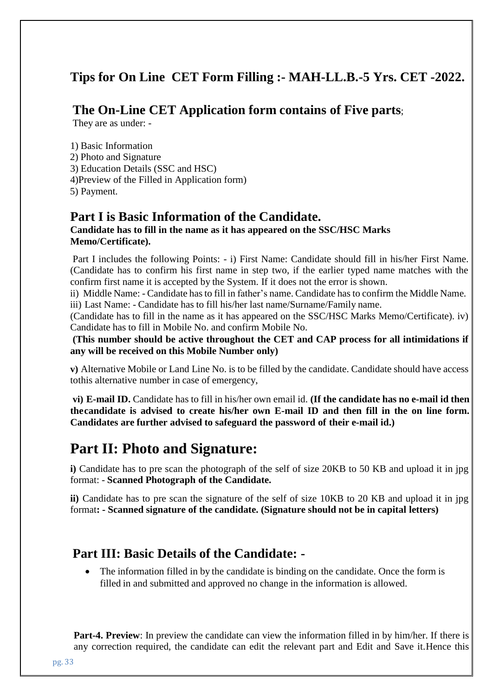# **Tips for On Line CET Form Filling :- MAH-LL.B.-5 Yrs. CET -2022.**

## **The On-Line CET Application form contains of Five parts**;

They are as under: -

1) Basic Information 2) Photo and Signature 3) Education Details (SSC and HSC) 4)Preview of the Filled in Application form) 5) Payment.

## **Part I is Basic Information of the Candidate.**

### **Candidate has to fill in the name as it has appeared on the SSC/HSC Marks Memo/Certificate).**

Part I includes the following Points: - i) First Name: Candidate should fill in his/her First Name. (Candidate has to confirm his first name in step two, if the earlier typed name matches with the confirm first name it is accepted by the System. If it does not the error is shown.

ii) Middle Name: - Candidate hasto fill in father's name. Candidate has to confirm the Middle Name. iii) Last Name: - Candidate has to fill his/her last name/Surname/Family name.

(Candidate has to fill in the name as it has appeared on the SSC/HSC Marks Memo/Certificate). iv) Candidate has to fill in Mobile No. and confirm Mobile No.

**(This number should be active throughout the CET and CAP process for all intimidations if any will be received on this Mobile Number only)**

**v)** Alternative Mobile or Land Line No. is to be filled by the candidate. Candidate should have access tothis alternative number in case of emergency,

**vi) E-mail ID.** Candidate has to fill in his/her own email id. **(If the candidate has no e-mail id then thecandidate is advised to create his/her own E-mail ID and then fill in the on line form. Candidates are further advised to safeguard the password of their e-mail id.)**

# **Part II: Photo and Signature:**

**i)** Candidate has to pre scan the photograph of the self of size 20KB to 50 KB and upload it in jpg format: - **Scanned Photograph of the Candidate.**

**ii)** Candidate has to pre scan the signature of the self of size 10KB to 20 KB and upload it in jpg format**: - Scanned signature of the candidate. (Signature should not be in capital letters)**

# **Part III: Basic Details of the Candidate: -**

• The information filled in by the candidate is binding on the candidate. Once the form is filled in and submitted and approved no change in the information is allowed.

**Part-4. Preview**: In preview the candidate can view the information filled in by him/her. If there is any correction required, the candidate can edit the relevant part and Edit and Save it.Hence this